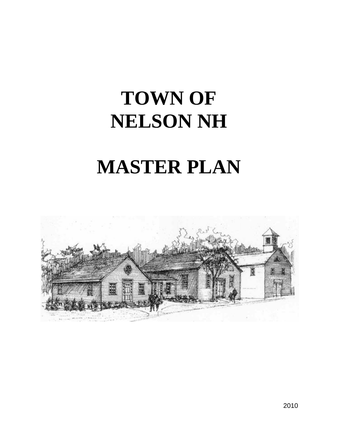# **TOWN OF NELSON NH**

# **MASTER PLAN**

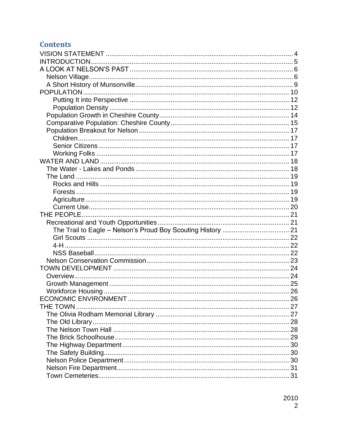# **Contents**

| THE TOWN |  |
|----------|--|
|          |  |
|          |  |
|          |  |
|          |  |
|          |  |
|          |  |
|          |  |
|          |  |
|          |  |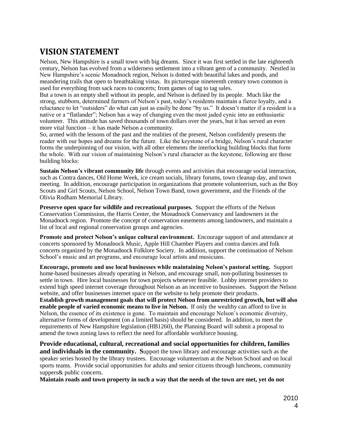# <span id="page-3-0"></span>**VISION STATEMENT**

Nelson, New Hampshire is a small town with big dreams. Since it was first settled in the late eighteenth century, Nelson has evolved from a wilderness settlement into a vibrant gem of a community. Nestled in New Hampshire's scenic Monadnock region, Nelson is dotted with beautiful lakes and ponds, and meandering trails that open to breathtaking vistas. Its picturesque nineteenth century town common is used for everything from sack races to concerts; from games of tag to tag sales.

But a town is an empty shell without its people, and Nelson is defined by its people. Much like the strong, stubborn, determined farmers of Nelson's past, today's residents maintain a fierce loyalty, and a reluctance to let "outsiders" do what can just as easily be done "by us." It doesn't matter if a resident is a native or a "flatlander"; Nelson has a way of changing even the most jaded cynic into an enthusiastic volunteer. This attitude has saved thousands of town dollars over the years, but it has served an even more vital function – it has made Nelson a community.

So, armed with the lessons of the past and the realities of the present, Nelson confidently presents the reader with our hopes and dreams for the future. Like the keystone of a bridge, Nelson's rural character forms the underpinning of our vision, with all other elements the interlocking building blocks that form the whole. With our vision of maintaining Nelson's rural character as the keystone, following are those building blocks:

**Sustain Nelson's vibrant community life** through events and activities that encourage social interaction, such as Contra dances, Old Home Week, ice cream socials, library forums, town cleanup day, and town meeting. In addition, encourage participation in organizations that promote volunteerism, such as the Boy Scouts and Girl Scouts, Nelson School, Nelson Town Band, town government, and the Friends of the Olivia Rodham Memorial Library.

**Preserve open space for wildlife and recreational purposes.** Support the efforts of the Nelson Conservation Commission, the Harris Center, the Monadnock Conservancy and landowners in the Monadnock region. Promote the concept of conservation easements among landowners, and maintain a list of local and regional conservation groups and agencies.

**Promote and protect Nelson's unique cultural environment.** Encourage support of and attendance at concerts sponsored by Monadnock Music, Apple Hill Chamber Players and contra dances and folk concerts organized by the Monadnock Folklore Society. In addition, support the continuation of Nelson School's music and art programs, and encourage local artists and musicians.

**Encourage, promote and use local businesses while maintaining Nelson's pastoral setting.** Support home-based businesses already operating in Nelson, and encourage small, non-polluting businesses to settle in town. Hire local businesses for town projects whenever feasible. Lobby internet providers to extend high speed internet coverage throughout Nelson as an incentive to businesses. Support the Nelson website, and offer businesses internet space on the website to help promote their products.

**Establish growth management goals that will protect Nelson from unrestricted growth, but will also enable people of varied economic means to live in Nelson.** If only the wealthy can afford to live in Nelson, the essence of its existence is gone. To maintain and encourage Nelson's economic diversity, alternative forms of development (on a limited basis) should be considered. In addition, to meet the requirements of New Hampshire legislation (HB1260), the Planning Board will submit a proposal to amend the town zoning laws to reflect the need for affordable workforce housing.

**Provide educational, cultural, recreational and social opportunities for children, families and individuals in the community. S**upport the town library and encourage activities such as the speaker series hosted by the library trustees. Encourage volunteerism at the Nelson School and on local sports teams. Provide social opportunities for adults and senior citizens through luncheons, community suppers& public concerts.

**Maintain roads and town property in such a way that the needs of the town are met, yet do not**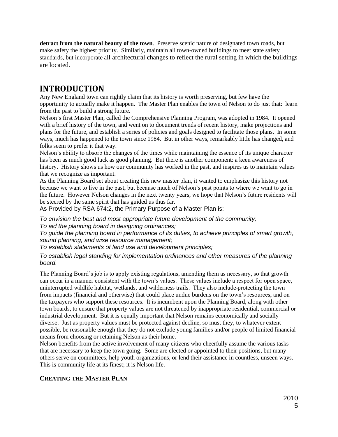**detract from the natural beauty of the town**. Preserve scenic nature of designated town roads, but make safety the highest priority. Similarly, maintain all town-owned buildings to meet state safety standards, but incorporate all architectural changes to reflect the rural setting in which the buildings are located.

# <span id="page-4-0"></span>**INTRODUCTION**

Any New England town can rightly claim that its history is worth preserving, but few have the opportunity to actually make it happen. The Master Plan enables the town of Nelson to do just that: learn from the past to build a strong future.

Nelson's first Master Plan, called the Comprehensive Planning Program, was adopted in 1984. It opened with a brief history of the town, and went on to document trends of recent history, make projections and plans for the future, and establish a series of policies and goals designed to facilitate those plans. In some ways, much has happened to the town since 1984. But in other ways, remarkably little has changed, and folks seem to prefer it that way.

Nelson's ability to absorb the changes of the times while maintaining the essence of its unique character has been as much good luck as good planning. But there is another component: a keen awareness of history. History shows us how our community has worked in the past, and inspires us to maintain values that we recognize as important.

As the Planning Board set about creating this new master plan, it wanted to emphasize this history not because we want to live in the past, but because much of Nelson's past points to where we want to go in the future. However Nelson changes in the next twenty years, we hope that Nelson's future residents will be steered by the same spirit that has guided us thus far.

As Provided by RSA 674:2, the Primary Purpose of a Master Plan is:

*To envision the best and most appropriate future development of the community; To aid the planning board in designing ordinances;*

*To guide the planning board in performance of its duties, to achieve principles of smart growth, sound planning, and wise resource management;*

*To establish statements of land use and development principles;*

*To establish legal standing for implementation ordinances and other measures of the planning board.*

The Planning Board's job is to apply existing regulations, amending them as necessary, so that growth can occur in a manner consistent with the town's values. These values include a respect for open space, uninterrupted wildlife habitat, wetlands, and wilderness trails. They also include protecting the town from impacts (financial and otherwise) that could place undue burdens on the town's resources, and on the taxpayers who support these resources. It is incumbent upon the Planning Board, along with other town boards, to ensure that property values are not threatened by inappropriate residential, commercial or industrial development. But it is equally important that Nelson remains economically and socially diverse. Just as property values must be protected against decline, so must they, to whatever extent possible, be reasonable enough that they do not exclude young families and/or people of limited financial means from choosing or retaining Nelson as their home.

Nelson benefits from the active involvement of many citizens who cheerfully assume the various tasks that are necessary to keep the town going. Some are elected or appointed to their positions, but many others serve on committees, help youth organizations, or lend their assistance in countless, unseen ways. This is community life at its finest; it is Nelson life.

## **CREATING THE MASTER PLAN**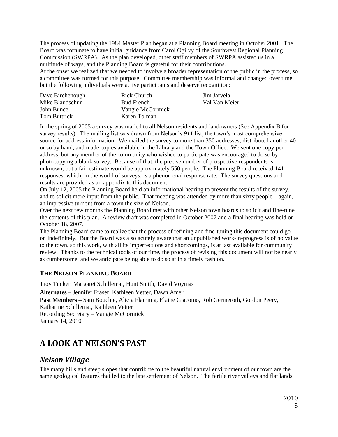The process of updating the 1984 Master Plan began at a Planning Board meeting in October 2001. The Board was fortunate to have initial guidance from Carol Ogilvy of the Southwest Regional Planning Commission (SWRPA). As the plan developed, other staff members of SWRPA assisted us in a multitude of ways, and the Planning Board is grateful for their contributions.

At the onset we realized that we needed to involve a broader representation of the public in the process, so a committee was formed for this purpose. Committee membership was informal and changed over time, but the following individuals were active participants and deserve recognition:

| Dave Birchenough    | Rick Church       | Jim Jarvela   |
|---------------------|-------------------|---------------|
| Mike Blaudschun     | <b>Bud French</b> | Val Van Meier |
| John Bunce          | Vangie McCormick  |               |
| <b>Tom Buttrick</b> | Karen Tolman      |               |

In the spring of 2005 a survey was mailed to all Nelson residents and landowners (See Appendix B for survey results). The mailing list was drawn from Nelson's *911* list, the town's most comprehensive source for address information. We mailed the survey to more than 350 addresses; distributed another 40 or so by hand, and made copies available in the Library and the Town Office. We sent one copy per address, but any member of the community who wished to participate was encouraged to do so by photocopying a blank survey. Because of that, the precise number of prospective respondents is unknown, but a fair estimate would be approximately 550 people. The Planning Board received 141 responses, which, in the world of surveys, is a phenomenal response rate. The survey questions and results are provided as an appendix to this document.

On July 12, 2005 the Planning Board held an informational hearing to present the results of the survey, and to solicit more input from the public. That meeting was attended by more than sixty people – again, an impressive turnout from a town the size of Nelson.

Over the next few months the Planning Board met with other Nelson town boards to solicit and fine-tune the contents of this plan. A review draft was completed in October 2007 and a final hearing was held on October 18, 2007.

The Planning Board came to realize that the process of refining and fine-tuning this document could go on indefinitely. But the Board was also acutely aware that an unpublished work-in-progress is of no value to the town, so this work, with all its imperfections and shortcomings, is at last available for community review. Thanks to the technical tools of our time, the process of revising this document will not be nearly as cumbersome, and we anticipate being able to do so at in a timely fashion.

#### **THE NELSON PLANNING BOARD**

Troy Tucker, Margaret Schillemat, Hunt Smith, David Voymas

**Alternates** – Jennifer Fraser, Kathleen Vetter, Dawn Amer

**Past Members –** Sam Bouchie, Alicia Flammia, Elaine Giacomo, Rob Germeroth, Gordon Peery, Katharine Schillemat, Kathleen Vetter

Recording Secretary – Vangie McCormick January 14, 2010

# <span id="page-5-0"></span>**A LOOK AT NELSON'S PAST**

## <span id="page-5-1"></span>*Nelson Village*

The many hills and steep slopes that contribute to the beautiful natural environment of our town are the same geological features that led to the late settlement of Nelson. The fertile river valleys and flat lands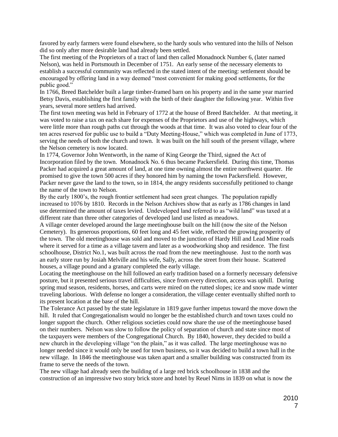favored by early farmers were found elsewhere, so the hardy souls who ventured into the hills of Nelson did so only after more desirable land had already been settled.

The first meeting of the Proprietors of a tract of land then called Monadnock Number 6, (later named Nelson), was held in Portsmouth in December of 1751. An early sense of the necessary elements to establish a successful community was reflected in the stated intent of the meeting: settlement should be encouraged by offering land in a way deemed "most convenient for making good settlements, for the public good."

In 1766, Breed Batchelder built a large timber-framed barn on his property and in the same year married Betsy Davis, establishing the first family with the birth of their daughter the following year. Within five years, several more settlers had arrived.

The first town meeting was held in February of 1772 at the house of Breed Batchelder. At that meeting, it was voted to raise a tax on each share for expenses of the Proprietors and use of the highways, which were little more than rough paths cut through the woods at that time. It was also voted to clear four of the ten acres reserved for public use to build a "Duty Meeting-House," which was completed in June of 1773, serving the needs of both the church and town. It was built on the hill south of the present village, where the Nelson cemetery is now located.

In 1774, Governor John Wentworth, in the name of King George the Third, signed the Act of Incorporation filed by the town. Monadnock No. 6 thus became Packersfield. During this time, Thomas Packer had acquired a great amount of land, at one time owning almost the entire northwest quarter. He promised to give the town 500 acres if they honored him by naming the town Packersfield. However, Packer never gave the land to the town, so in 1814, the angry residents successfully petitioned to change the name of the town to Nelson.

By the early 1800's, the rough frontier settlement had seen great changes. The population rapidly increased to 1076 by 1810. Records in the Nelson Archives show that as early as 1786 changes in land use determined the amount of taxes levied. Undeveloped land referred to as "wild land" was taxed at a different rate than three other categories of developed land use listed as meadows.

A village center developed around the large meetinghouse built on the hill (now the site of the Nelson Cemetery). Its generous proportions, 60 feet long and 45 feet wide, reflected the growing prosperity of the town. The old meetinghouse was sold and moved to the junction of Hardy Hill and Lead Mine roads where it served for a time as a village tavern and later as a woodworking shop and residence. The first schoolhouse, District No.1, was built across the road from the new meetinghouse. Just to the north was an early store run by Josiah Melville and his wife, Sally, across the street from their house. Scattered houses, a village pound and a granary completed the early village.

Locating the meetinghouse on the hill followed an early tradition based on a formerly necessary defensive posture, but it presented serious travel difficulties, since from every direction, access was uphill. During spring mud season, residents, horses, and carts were mired on the rutted slopes; ice and snow made winter traveling laborious. With defense no longer a consideration, the village center eventually shifted north to its present location at the base of the hill.

The Tolerance Act passed by the state legislature in 1819 gave further impetus toward the move down the hill. It ruled that Congregationalism would no longer be the established church and town taxes could no longer support the church. Other religious societies could now share the use of the meetinghouse based on their numbers. Nelson was slow to follow the policy of separation of church and state since most of the taxpayers were members of the Congregational Church. By 1840, however, they decided to build a new church in the developing village "on the plain," as it was called. The large meetinghouse was no longer needed since it would only be used for town business, so it was decided to build a town hall in the new village. In 1846 the meetinghouse was taken apart and a smaller building was constructed from its frame to serve the needs of the town.

The new village had already seen the building of a large red brick schoolhouse in 1838 and the construction of an impressive two story brick store and hotel by Reuel Nims in 1839 on what is now the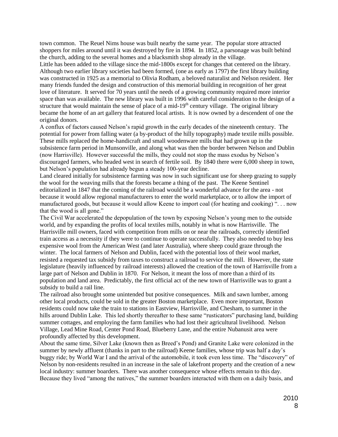town common. The Reuel Nims house was built nearby the same year. The popular store attracted shoppers for miles around until it was destroyed by fire in 1894. In 1852, a parsonage was built behind the church, adding to the several homes and a blacksmith shop already in the village.

Little has been added to the village since the mid-1800s except for changes that centered on the library. Although two earlier library societies had been formed, (one as early as 1797) the first library building was constructed in 1925 as a memorial to Olivia Rodham, a beloved naturalist and Nelson resident. Her many friends funded the design and construction of this memorial building in recognition of her great love of literature. It served for 70 years until the needs of a growing community required more interior space than was available. The new library was built in 1996 with careful consideration to the design of a structure that would maintain the sense of place of a mid-19<sup>th</sup> century village. The original library became the home of an art gallery that featured local artists. It is now owned by a descendent of one the original donors.

A conflux of factors caused Nelson's rapid growth in the early decades of the nineteenth century. The potential for power from falling water (a by-product of the hilly topography) made textile mills possible. These mills replaced the home-handicraft and small woodenware mills that had grown up in the subsistence farm period in Munsonville, and along what was then the border between Nelson and Dublin (now Harrisville). However successful the mills, they could not stop the mass exodus by Nelson's discouraged farmers, who headed west in search of fertile soil. By 1840 there were 6,000 sheep in town, but Nelson's population had already begun a steady 100-year decline.

Land cleared initially for subsistence farming was now in such significant use for sheep grazing to supply the wool for the weaving mills that the forests became a thing of the past. The Keene Sentinel editorialized in 1847 that the coming of the railroad would be a wonderful advance for the area - not because it would allow regional manufacturers to enter the world marketplace, or to allow the import of manufactured goods, but because it would allow Keene to import coal (for heating and cooking) ". . . now that the wood is all gone."

The Civil War accelerated the depopulation of the town by exposing Nelson's young men to the outside world, and by expanding the profits of local textiles mills, notably in what is now Harrisville. The Harrisville mill owners, faced with competition from mills on or near the railroads, correctly identified train access as a necessity if they were to continue to operate successfully. They also needed to buy less expensive wool from the American West (and later Australia), where sheep could graze through the winter. The local farmers of Nelson and Dublin, faced with the potential loss of their wool market, resisted a requested tax subsidy from taxes to construct a railroad to service the mill. However, the state legislature (heavily influenced by railroad interests) allowed the creation of the town of Harrisville from a large part of Nelson and Dublin in 1870. For Nelson, it meant the loss of more than a third of its population and land area. Predictably, the first official act of the new town of Harrisville was to grant a subsidy to build a rail line.

The railroad also brought some unintended but positive consequences. Milk and sawn lumber, among other local products, could be sold in the greater Boston marketplace. Even more important, Boston residents could now take the train to stations in Eastview, Harrisville, and Chesham, to summer in the hills around Dublin Lake. This led shortly thereafter to these same "rusticators" purchasing land, building summer cottages, and employing the farm families who had lost their agricultural livelihood. Nelson Village, Lead Mine Road, Center Pond Road, Blueberry Lane, and the entire Nubanusit area were profoundly affected by this development.

About the same time, Silver Lake (known then as Breed's Pond) and Granite Lake were colonized in the summer by newly affluent (thanks in part to the railroad) Keene families, whose trip was half a day's buggy ride; by World War I and the arrival of the automobile, it took even less time. The "discovery" of Nelson by non-residents resulted in an increase in the sale of lakefront property and the creation of a new local industry: summer boarders. There was another consequence whose effects remain to this day. Because they lived "among the natives," the summer boarders interacted with them on a daily basis, and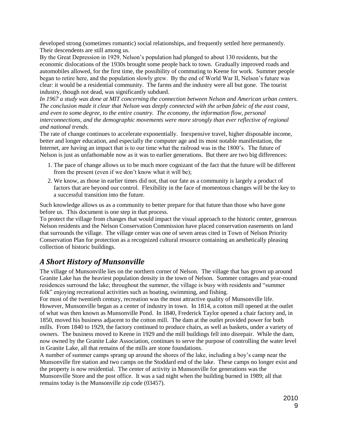developed strong (sometimes romantic) social relationships, and frequently settled here permanently. Their descendents are still among us.

By the Great Depression in 1929, Nelson's population had plunged to about 130 residents, but the economic dislocations of the 1930s brought some people back to town. Gradually improved roads and automobiles allowed, for the first time, the possibility of commuting to Keene for work. Summer people began to retire here, and the population slowly grew. By the end of World War II, Nelson's future was clear: it would be a residential community. The farms and the industry were all but gone. The tourist industry, though not dead, was significantly subdued.

*In 1967 a study was done at MIT concerning the connection between Nelson and American urban centers. The conclusion made it clear that Nelson was deeply connected with the urban fabric of the east coast, and even to some degree, to the entire country. The economy, the information flow, personal interconnections, and the demographic movements were more strongly than ever reflective of regional and national trends.* 

The rate of change continues to accelerate exponentially. Inexpensive travel, higher disposable income, better and longer education, and especially the computer age and its most notable manifestation, the Internet, are having an impact that is to our time what the railroad was in the 1800's. The future of Nelson is just as unfathomable now as it was to earlier generations. But there are two big differences:

- 1. The pace of change allows us to be much more cognizant of the fact that the future will be different from the present (even if we don't know what it will be);
- 2. We know, as those in earlier times did not, that our fate as a community is largely a product of factors that are beyond our control. Flexibility in the face of momentous changes will be the key to a successful transition into the future.

Such knowledge allows us as a community to better prepare for that future than those who have gone before us. This document is one step in that process.

To protect the village from changes that would impact the visual approach to the historic center, generous Nelson residents and the Nelson Conservation Commission have placed conservation easements on land that surrounds the village. The village center was one of seven areas cited in Town of Nelson Priority Conservation Plan for protection as a recognized cultural resource containing an aesthetically pleasing collection of historic buildings.

# <span id="page-8-0"></span>*A Short History of Munsonville*

The village of Munsonville lies on the northern corner of Nelson. The village that has grown up around Granite Lake has the heaviest population density in the town of Nelson. Summer cottages and year-round residences surround the lake; throughout the summer, the village is busy with residents and "summer folk" enjoying recreational activities such as boating, swimming, and fishing.

For most of the twentieth century, recreation was the most attractive quality of Munsonville life. However, Munsonville began as a center of industry in town. In 1814, a cotton mill opened at the outlet of what was then known as Munsonville Pond. In 1840, Frederick Taylor opened a chair factory and, in 1850, moved his business adjacent to the cotton mill. The dam at the outlet provided power for both mills. From 1840 to 1929, the factory continued to produce chairs, as well as baskets, under a variety of owners. The business moved to Keene in 1929 and the mill buildings fell into disrepair. While the dam, now owned by the Granite Lake Association, continues to serve the purpose of controlling the water level in Granite Lake, all that remains of the mills are stone foundations.

A number of summer camps sprang up around the shores of the lake, including a boy's camp near the Munsonville fire station and two camps on the Stoddard end of the lake. These camps no longer exist and the property is now residential. The center of activity in Munsonville for generations was the Munsonville Store and the post office. It was a sad night when the building burned in 1989; all that remains today is the Munsonville zip code (03457).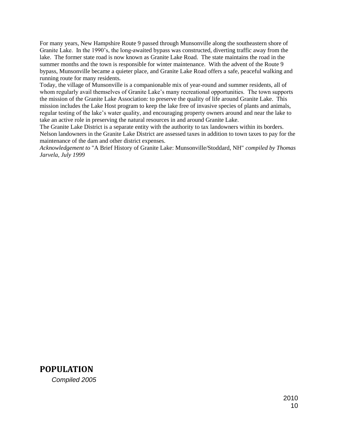For many years, New Hampshire Route 9 passed through Munsonville along the southeastern shore of Granite Lake. In the 1990's, the long-awaited bypass was constructed, diverting traffic away from the lake. The former state road is now known as Granite Lake Road. The state maintains the road in the summer months and the town is responsible for winter maintenance. With the advent of the Route 9 bypass, Munsonville became a quieter place, and Granite Lake Road offers a safe, peaceful walking and running route for many residents.

Today, the village of Munsonville is a companionable mix of year-round and summer residents, all of whom regularly avail themselves of Granite Lake's many recreational opportunities. The town supports the mission of the Granite Lake Association: to preserve the quality of life around Granite Lake. This mission includes the Lake Host program to keep the lake free of invasive species of plants and animals, regular testing of the lake's water quality, and encouraging property owners around and near the lake to take an active role in preserving the natural resources in and around Granite Lake.

The Granite Lake District is a separate entity with the authority to tax landowners within its borders. Nelson landowners in the Granite Lake District are assessed taxes in addition to town taxes to pay for the maintenance of the dam and other district expenses.

*Acknowledgement to* "A Brief History of Granite Lake: Munsonville/Stoddard, NH" *compiled by Thomas Jarvela, July 1999* 

<span id="page-9-0"></span>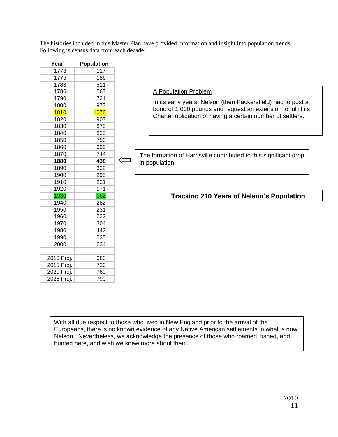The histories included in this Master Plan have provided information and insight into population trends. Following is census data from each decade:

| Year       | <b>Population</b> |
|------------|-------------------|
| 1773       | 117               |
| 1775       | 186               |
| 1783       | 511               |
| 1786       | 567               |
| 1790       | 721               |
| 1800       | 977               |
| 1810       | 1076              |
| 1820       | 907               |
| 1830       | 875               |
| 1840       | 835               |
| 1850       | 750               |
| 1860       | 699               |
| 1870       | 744               |
| 1880       | 438               |
| 1890       | 332               |
| 1900       | 295               |
| 1910       | 231               |
| 1920       | 171               |
| 1930       | 162               |
| 1940       | 282               |
| 1950       | 231               |
| 1960       | 222               |
| 1970       | 304               |
| 1980       | 442               |
| 1990       | 535               |
| 2000       | 634               |
| 2010 Proj. | 680               |
| 2015 Proj. | 720               |
| 2020 Proj. | 760               |
| 2025 Proj. | 790               |

A Population Problem

In its early years, Nelson (then Packersfield) had to post a bond of 1,000 pounds and request an extension to fulfill its Charter obligation of having a certain number of settlers.

The formation of Harrisville contributed to this significant drop in population.

## **Tracking 210 Years of Nelson's Population**

With all due respect to those who lived in New England prior to the arrival of the Europeans, there is no known evidence of any Native American settlements in what is now Nelson. Nevertheless, we acknowledge the presence of those who roamed, fished, and hunted here, and wish we knew more about them.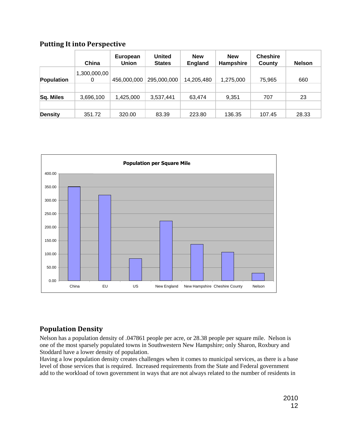## <span id="page-11-0"></span>**Putting It into Perspective**

|                | China             | European<br>Union | <b>United</b><br><b>States</b> | <b>New</b><br><b>England</b> | <b>New</b><br>Hampshire | <b>Cheshire</b><br>County | <b>Nelson</b> |
|----------------|-------------------|-------------------|--------------------------------|------------------------------|-------------------------|---------------------------|---------------|
| Population     | 1,300,000,00<br>0 | 456,000,000       | 295,000,000                    | 14,205,480                   | 1,275,000               | 75,965                    | 660           |
| Sq. Miles      | 3,696,100         | 1,425,000         | 3,537,441                      | 63,474                       | 9,351                   | 707                       | 23            |
| <b>Density</b> | 351.72            | 320.00            | 83.39                          | 223.80                       | 136.35                  | 107.45                    | 28.33         |



# <span id="page-11-1"></span>**Population Density**

Nelson has a population density of .047861 people per acre, or 28.38 people per square mile. Nelson is one of the most sparsely populated towns in Southwestern New Hampshire; only Sharon, Roxbury and Stoddard have a lower density of population.

Having a low population density creates challenges when it comes to municipal services, as there is a base level of those services that is required. Increased requirements from the State and Federal government add to the workload of town government in ways that are not always related to the number of residents in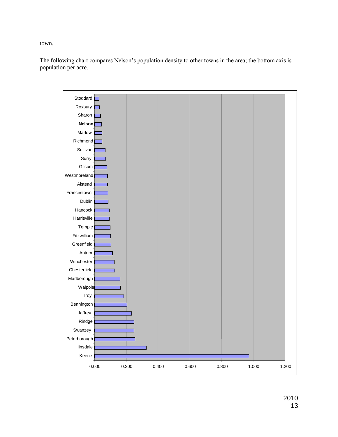town.

The following chart compares Nelson's population density to other towns in the area; the bottom axis is population per acre.

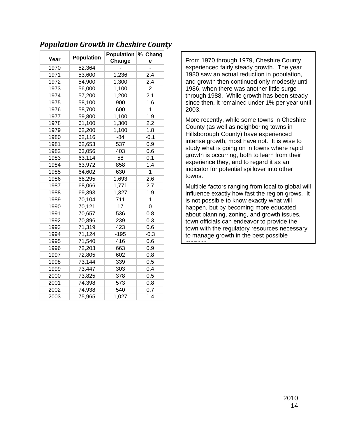|      |                   | Population | % Chang        |
|------|-------------------|------------|----------------|
| Year | <b>Population</b> | Change     | е              |
| 1970 | 52,364            |            |                |
| 1971 | 53,600            | 1,236      | 2.4            |
| 1972 | 54,900            | 1,300      | 2.4            |
| 1973 | 56,000            | 1,100      | $\overline{2}$ |
| 1974 | 57,200            | 1,200      | 2.1            |
| 1975 | 58,100            | 900        | 1.6            |
| 1976 | 58,700            | 600        | $\mathbf{1}$   |
| 1977 | 59,800            | 1,100      | 1.9            |
| 1978 | 61,100            | 1,300      | 2.2            |
| 1979 | 62,200            | 1,100      | 1.8            |
| 1980 | 62,116            | $-84$      | $-0.1$         |
| 1981 | 62,653            | 537        | 0.9            |
| 1982 | 63,056            | 403        | 0.6            |
| 1983 | 63,114            | 58         | 0.1            |
| 1984 | 63,972            | 858        | 1.4            |
| 1985 | 64,602            | 630        | 1              |
| 1986 | 66,295            | 1,693      | 2.6            |
| 1987 | 68,066            | 1,771      | 2.7            |
| 1988 | 69,393            | 1,327      | 1.9            |
| 1989 | 70,104            | 711        | $\mathbf 1$    |
| 1990 | 70,121            | 17         | 0              |
| 1991 | 70,657            | 536        | 0.8            |
| 1992 | 70,896            | 239        | 0.3            |
| 1993 | 71,319            | 423        | 0.6            |
| 1994 | 71,124            | $-195$     | $-0.3$         |
| 1995 | 71,540            | 416        | 0.6            |
| 1996 | 72,203            | 663        | 0.9            |
| 1997 | 72,805            | 602        | 0.8            |
| 1998 | 73,144            | 339        | 0.5            |
| 1999 | 73,447            | 303        | 0.4            |
| 2000 | 73,825            | 378        | 0.5            |
| 2001 | 74,398            | 573        | 0.8            |
| 2002 | 74,938            | 540        | 0.7            |
| 2003 | 75,965            | 1,027      | 1.4            |

# <span id="page-13-0"></span>*Population Growth in Cheshire County*

From 1970 through 1979, Cheshire County experienced fairly steady growth. The year 1980 saw an actual reduction in population, and growth then continued only modestly until 1986, when there was another little surge through 1988. While growth has been steady since then, it remained under 1% per year until 2003.

More recently, while some towns in Cheshire County (as well as neighboring towns in Hillsborough County) have experienced intense growth, most have not. It is wise to study what is going on in towns where rapid growth is occurring, both to learn from their experience they, and to regard it as an indicator for potential spillover into other towns.

Multiple factors ranging from local to global will influence exactly how fast the region grows. It is not possible to know exactly what will happen, but by becoming more educated about planning, zoning, and growth issues, town officials can endeavor to provide the town with the regulatory resources necessary to manage growth in the best possible manner.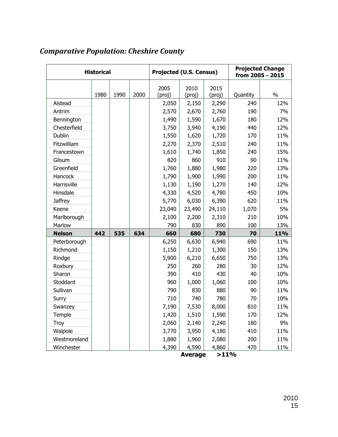| <b>Historical</b> |      | <b>Projected (U.S. Census)</b> |      |        |                | <b>Projected Change</b><br>from 2005 - 2015 |          |            |
|-------------------|------|--------------------------------|------|--------|----------------|---------------------------------------------|----------|------------|
|                   |      |                                |      | 2005   | 2010           | 2015                                        |          |            |
|                   | 1980 | 1990                           | 2000 | (proj) | (proj)         | (proj)                                      | Quantity | $\%$       |
| Alstead           |      |                                |      | 2,050  | 2,150          | 2,290                                       | 240      | 12%        |
| Antrim            |      |                                |      | 2,570  | 2,670          | 2,760                                       | 190      | 7%         |
| Bennington        |      |                                |      | 1,490  | 1,590          | 1,670                                       | 180      | 12%        |
| Chesterfield      |      |                                |      | 3,750  | 3,940          | 4,190                                       | 440      | 12%        |
| Dublin            |      |                                |      | 1,550  | 1,620          | 1,720                                       | 170      | 11%        |
| Fitzwilliam       |      |                                |      | 2,270  | 2,370          | 2,510                                       | 240      | 11%        |
| Francestown       |      |                                |      | 1,610  | 1,740          | 1,850                                       | 240      | 15%        |
| Gilsum            |      |                                |      | 820    | 860            | 910                                         | 90       | 11%        |
| Greenfield        |      |                                |      | 1,760  | 1,880          | 1,980                                       | 220      | 13%        |
| Hancock           |      |                                |      | 1,790  | 1,900          | 1,990                                       | 200      | 11%        |
| Harrisville       |      |                                |      | 1,130  | 1,190          | 1,270                                       | 140      | 12%        |
| Hinsdale          |      |                                |      | 4,330  | 4,520          | 4,780                                       | 450      | 10%        |
| <b>Jaffrey</b>    |      |                                |      | 5,770  | 6,030          | 6,390                                       | 620      | 11%        |
| Keene             |      |                                |      | 23,040 | 23,490         | 24,110                                      | 1,070    | 5%         |
| Marlborough       |      |                                |      | 2,100  | 2,200          | 2,310                                       | 210      | 10%        |
| Marlow            |      |                                |      | 790    | 830            | 890                                         | 100      | 13%        |
| <b>Nelson</b>     | 442  | 535                            | 634  | 660    | 680            | 730                                         | 70       | <b>11%</b> |
| Peterborough      |      |                                |      | 6,250  | 6,630          | 6,940                                       | 690      | 11%        |
| Richmond          |      |                                |      | 1,150  | 1,210          | 1,300                                       | 150      | 13%        |
| Rindge            |      |                                |      | 5,900  | 6,210          | 6,650                                       | 750      | 13%        |
| Roxbury           |      |                                |      | 250    | 260            | 280                                         | 30       | 12%        |
| Sharon            |      |                                |      | 390    | 410            | 430                                         | 40       | 10%        |
| Stoddard          |      |                                |      | 960    | 1,000          | 1,060                                       | 100      | 10%        |
| Sullivan          |      |                                |      | 790    | 830            | 880                                         | 90       | 11%        |
| Surry             |      |                                |      | 710    | 740            | 780                                         | 70       | 10%        |
| Swanzey           |      |                                |      | 7,190  | 7,530          | 8,000                                       | 810      | 11%        |
| Temple            |      |                                |      | 1,420  | 1,510          | 1,590                                       | 170      | 12%        |
| Troy              |      |                                |      | 2,060  | 2,140          | 2,240                                       | 180      | 9%         |
| Walpole           |      |                                |      | 3,770  | 3,950          | 4,180                                       | 410      | 11%        |
| Westmoreland      |      |                                |      | 1,880  | 1,960          | 2,080                                       | 200      | 11%        |
| Winchester        |      |                                |      | 4,390  | 4,590          | 4,860                                       | 470      | 11%        |
|                   |      |                                |      |        | <b>Average</b> | >11%                                        |          |            |

# <span id="page-14-0"></span>*Comparative Population: Cheshire County*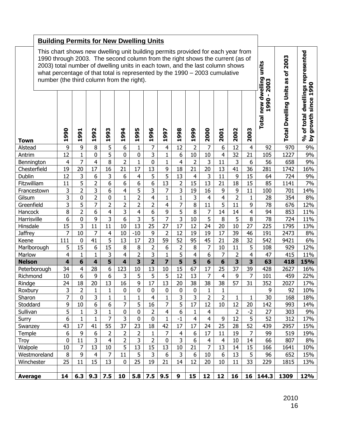|                            | <b>Building Permits for New Dwelling Units</b>                                                                                                                                                                                                                                                                                                                               |                                   |                                |                               |                                   |                               |                             |                                |                              |                                           |                             |                                                           |                               |                         |                         |            |             |            |
|----------------------------|------------------------------------------------------------------------------------------------------------------------------------------------------------------------------------------------------------------------------------------------------------------------------------------------------------------------------------------------------------------------------|-----------------------------------|--------------------------------|-------------------------------|-----------------------------------|-------------------------------|-----------------------------|--------------------------------|------------------------------|-------------------------------------------|-----------------------------|-----------------------------------------------------------|-------------------------------|-------------------------|-------------------------|------------|-------------|------------|
|                            | This chart shows new dwelling unit building permits provided for each year from<br>1990 through 2003. The second column from the right shows the current (as of<br>2003) total number of dwelling units in each town, and the last column shows<br>what percentage of that total is represented by the $1990 - 2003$ cumulative<br>number (the third column from the right). |                                   |                                |                               |                                   |                               |                             |                                |                              |                                           | units<br>dwelling<br>2003   | as of 2003                                                | $\mathbf{5}$<br>Ō<br>H        |                         |                         |            |             |            |
| <b>Town</b>                | 995<br>996<br>990<br>992<br>993<br>994<br>998<br>999<br>2000<br>2002<br>991<br>997<br>2001<br>Ħ<br>÷<br>ᆏ<br>ᆏ<br>ᆏ<br>ᆏ<br>ᆏ<br>ᆏ<br>ᆋ<br>ᆏ                                                                                                                                                                                                                                 |                                   |                                |                               |                                   |                               |                             |                                | 2003                         | $\blacksquare$<br>990<br><b>Total new</b> | <b>Total Dwelling Units</b> | % of total dwellings represented<br>since<br>growth<br>λđ |                               |                         |                         |            |             |            |
| Alstead                    |                                                                                                                                                                                                                                                                                                                                                                              | 9                                 | 9                              | 8                             | 5                                 | 6                             | $\mathbf{1}$                | 7                              | $\overline{4}$               | 12                                        | $\overline{2}$              | 7                                                         | 6                             | 12                      | 4                       | 92         | 970         | 9%         |
| Antrim                     |                                                                                                                                                                                                                                                                                                                                                                              | $\overline{12}$<br>$\overline{4}$ | $\mathbf{1}$<br>$\overline{7}$ | $\mathbf 0$<br>$\overline{4}$ | $\overline{5}$<br>8               | $\mathbf 0$<br>$\overline{2}$ | $\mathbf 0$<br>$\mathbf{1}$ | 3<br>$\pmb{0}$                 | $\mathbf{1}$<br>$\mathbf{1}$ | 6<br>$\overline{4}$                       | 10<br>$\overline{2}$        | 10<br>3                                                   | $\overline{\mathbf{4}}$<br>11 | 32<br>3                 | 21<br>6                 | 105<br>56  | 1227<br>658 | 9%<br>9%   |
| Bennington<br>Chesterfield |                                                                                                                                                                                                                                                                                                                                                                              | 19                                | 20                             | 17                            | 16                                | 21                            | 17                          | 13                             | 9                            | 18                                        | 21                          | 20                                                        | 13                            | 41                      | 36                      | 281        | 1742        | 16%        |
| Dublin                     |                                                                                                                                                                                                                                                                                                                                                                              | 12                                | 3                              | 6                             | 3                                 | 6                             | 4                           | 5                              | 5                            | 13                                        | $\overline{4}$              | 3                                                         | 11                            | 9                       | 15                      | 64         | 724         | 9%         |
| Fitzwilliam                |                                                                                                                                                                                                                                                                                                                                                                              | 11                                | 5                              | $\overline{2}$                | 6                                 | 6                             | 6                           | 6                              | 13                           | $\overline{2}$                            | 15                          | 13                                                        | 21                            | 18                      | 15                      | 85         | 1141        | 7%         |
| Francestown                |                                                                                                                                                                                                                                                                                                                                                                              | 3                                 | $\overline{2}$                 | $\overline{3}$                | 6                                 | $\overline{4}$                | 5                           | 3                              | $\overline{7}$               | $\overline{3}$                            | 19                          | 16                                                        | 9                             | 9                       | 11                      | 100        | 701         | 14%        |
| Gilsum                     |                                                                                                                                                                                                                                                                                                                                                                              | 3                                 | $\mathbf 0$                    | $\overline{2}$                | $\mathbf 0$                       | $\mathbf{1}$                  | $\overline{2}$              | $\overline{4}$                 | $\mathbf{1}$                 | $\mathbf{1}$                              | 3                           | $\overline{4}$                                            | $\overline{4}$                | $\overline{2}$          | $\mathbf{1}$            | 28         | 354         | 8%         |
| Greenfield                 |                                                                                                                                                                                                                                                                                                                                                                              | 3                                 | 5                              | $\overline{7}$                | $\overline{2}$                    | $\overline{2}$                | $\overline{2}$              | $\overline{2}$                 | $\overline{4}$               | 7                                         | 8                           | 11                                                        | 5                             | 11                      | 9                       | 78         | 676         | 12%        |
| Hancock                    |                                                                                                                                                                                                                                                                                                                                                                              | 8                                 | $\overline{2}$                 | 6                             | $\overline{4}$                    | $\overline{3}$                | $\overline{4}$              | 6                              | 9                            | 5                                         | 8                           | 7                                                         | 14                            | 14                      | $\overline{\mathbf{4}}$ | 94         | 853         | 11%        |
| Harrisville                |                                                                                                                                                                                                                                                                                                                                                                              | 6                                 | $\pmb{0}$                      | 9                             | 3                                 | 6                             | 3                           | 5                              | 7                            | 3                                         | 10                          | 5                                                         | 8                             | 5                       | 8                       | 78         | 724         | 11%        |
| Hinsdale                   |                                                                                                                                                                                                                                                                                                                                                                              | 15                                | 3                              | 11                            | 11                                | 10                            | 13                          | 25                             | 27                           | 17                                        | 12                          | 24                                                        | 20                            | 10                      | 27                      | 225        | 1795        | 13%        |
| <b>Jaffrey</b>             |                                                                                                                                                                                                                                                                                                                                                                              | $\overline{7}$                    | 10                             | $\overline{7}$                | $\overline{4}$                    | 10                            | $-10$                       | 9                              | $\overline{2}$               | 12                                        | 19                          | 19                                                        | $\overline{17}$               | 39                      | 46                      | 191        | 2473        | 8%         |
| Keene<br>Marlborough       |                                                                                                                                                                                                                                                                                                                                                                              | 111<br>5                          | $\mathbf 0$<br>$\overline{15}$ | 41<br>6                       | 5<br>$\overline{15}$              | 13<br>8                       | 17<br>$\, 8$                | 23<br>$\overline{2}$           | 59<br>$6\phantom{1}$         | 52<br>$\overline{2}$                      | 95<br>$\overline{8}$        | 45<br>$\overline{7}$                                      | 21<br>10                      | 28<br>11                | 32<br>5                 | 542<br>108 | 9421<br>929 | 6%<br>12%  |
| Marlow                     |                                                                                                                                                                                                                                                                                                                                                                              | $\overline{4}$                    | $\mathbf{1}$                   | $\mathbf{1}$                  | 3                                 | $\overline{\mathbf{4}}$       | $\overline{2}$              | 3                              | $\mathbf{1}$                 | 5                                         | $\overline{4}$              | 6                                                         | 7                             | $\overline{2}$          | $\overline{\mathbf{4}}$ | 47         | 415         | 11%        |
| <b>Nelson</b>              |                                                                                                                                                                                                                                                                                                                                                                              | $\overline{\mathbf{4}}$           | $6\phantom{1}$                 | $\overline{\mathbf{4}}$       | $\overline{\mathbf{5}}$           | $\overline{\mathbf{4}}$       | $\overline{\mathbf{3}}$     | $\overline{2}$                 | $\overline{7}$               | 5                                         | $\overline{\mathbf{5}}$     | $6\phantom{1}$                                            | 6                             | $\overline{\mathbf{3}}$ | $\overline{\mathbf{3}}$ | 63         | 418         | 15%        |
|                            | Peterborough                                                                                                                                                                                                                                                                                                                                                                 | 34                                | $\overline{4}$                 | 28                            | 6                                 | 123                           | 10                          | 13                             | 10                           | 15                                        | 67                          | 17                                                        | 25                            | 37                      | 39                      | 428        | 2627        | 16%        |
| Richmond                   |                                                                                                                                                                                                                                                                                                                                                                              | 10                                | 6                              | 9                             | 6                                 | 3                             | 5                           | 5                              | 5                            | 12                                        | 13                          | $\overline{7}$                                            | $\overline{\mathbf{4}}$       | 9                       | 7                       | 101        | 459         | 22%        |
| Rindge                     |                                                                                                                                                                                                                                                                                                                                                                              | $\overline{24}$                   | $\overline{18}$                | $\overline{20}$               | 13                                | 16                            | $\overline{9}$              | 17                             | 13                           | $\overline{20}$                           | 38                          | $\overline{38}$                                           | $\overline{38}$               | $\overline{57}$         | 31                      | 352        | 2027        | 17%        |
| Roxbury                    |                                                                                                                                                                                                                                                                                                                                                                              | 3                                 | $\overline{2}$                 | 1                             | $\mathbf{1}$                      | 0                             | 0                           | 0                              | $\mathbf 0$                  | 0                                         | $\mathbf 0$                 | 1                                                         | 1                             |                         |                         | 9          | 92          | 10%        |
| Sharon                     |                                                                                                                                                                                                                                                                                                                                                                              | $\overline{7}$                    | $\pmb{0}$                      | 3                             | $\mathbf{1}$                      | $\mathbf{1}$                  | $\mathbf{1}$                | 4                              | $\mathbf 1$                  | 3                                         | 3                           | $\overline{2}$                                            | $\overline{2}$                | $\mathbf{1}$            | $\mathbf{1}$            | 30         | 168         | 18%        |
| Stoddard                   |                                                                                                                                                                                                                                                                                                                                                                              | 9                                 | 10                             | 6                             | 6                                 | $\overline{7}$                | 5                           | 16                             | 7                            | 5                                         | 17                          | 12                                                        | 10                            | 12                      | 20                      | 142        | 993         | 14%        |
| Sullivan                   |                                                                                                                                                                                                                                                                                                                                                                              | 5                                 | $\mathbf{1}$                   | 3                             | 1                                 | 0                             | $\mathbf 0$                 | $\overline{2}$                 | $\overline{4}$               | 6                                         | 1                           | $\overline{4}$                                            |                               | $\overline{2}$          | $-2$                    | 27         | 303         | 9%         |
| Surry                      |                                                                                                                                                                                                                                                                                                                                                                              | 6                                 | $\mathbf{1}$                   | $\mathbf{1}$                  | $\overline{7}$<br>$\overline{55}$ | 3<br>37                       | $\mathbf 0$                 | $\mathbf 0$                    | $\mathbf{1}$                 | $-1$<br>17                                | $\overline{4}$<br>17        | $\overline{4}$                                            | 9<br>25                       | 12                      | 5                       | 52         | 312         | 17%        |
| Swanzey<br>Temple          |                                                                                                                                                                                                                                                                                                                                                                              | 43<br>$\boldsymbol{6}$            | 17<br>9                        | 41<br>6                       | $\overline{2}$                    | $\overline{2}$                | 23<br>$\overline{2}$        | 18                             | 42<br>$\overline{7}$         | $\overline{\mathbf{4}}$                   | $6\,$                       | 24<br>17                                                  | 11                            | 28<br>19                | 52<br>$\overline{7}$    | 439<br>99  | 2957<br>519 | 15%<br>19% |
| Troy                       |                                                                                                                                                                                                                                                                                                                                                                              | 0                                 | 11                             | 3                             | $\overline{4}$                    | $\overline{2}$                | $\overline{3}$              | $\mathbf{1}$<br>$\overline{2}$ | 0                            | 3                                         | 6                           | $\overline{4}$                                            | $\overline{4}$                | 10                      | 14                      | 66         | 807         | 8%         |
| Walpole                    |                                                                                                                                                                                                                                                                                                                                                                              | 10                                | $\overline{7}$                 | 13                            | 10                                | 5                             | 13                          | 15                             | 13                           | 10                                        | 21                          | 7                                                         | 13                            | 14                      | 15                      | 166        | 1641        | 10%        |
|                            | Westmoreland                                                                                                                                                                                                                                                                                                                                                                 | 8                                 | 9                              | $\overline{4}$                | $\overline{7}$                    | 11                            | 5                           | 3                              | 6                            | 3                                         | 6                           | 10                                                        | 6                             | 13                      | 5                       | 96         | 652         | 15%        |
| Winchester                 |                                                                                                                                                                                                                                                                                                                                                                              | 25                                | 11                             | 15                            | 13                                | 0                             | 25                          | 19                             | 21                           | 14                                        | 12                          | 20                                                        | 10                            | 11                      | 33                      | 229        | 1815        | 13%        |
|                            |                                                                                                                                                                                                                                                                                                                                                                              |                                   |                                |                               |                                   |                               |                             |                                |                              |                                           |                             |                                                           |                               |                         |                         |            |             |            |
| <b>Average</b>             |                                                                                                                                                                                                                                                                                                                                                                              | 14                                | 6.3                            | 9.3                           | 7.5                               | 10                            | 5.8                         | 7.5                            | 9.5                          | 9                                         | 15                          | 12                                                        | 12                            | 16                      | 16                      | 144.3      | 1309        | <b>12%</b> |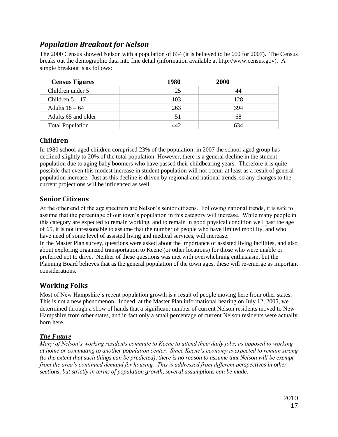# *Population Breakout for Nelson*

<span id="page-16-0"></span>The 2000 Census showed Nelson with a population of 634 (it is believed to be 660 for 2007). The Census breaks out the demographic data into fine detail (information available at http://www.census.gov). A simple breakout is as follows:

| <b>Census Figures</b>   | 1980 | <b>2000</b> |  |
|-------------------------|------|-------------|--|
| Children under 5        | 25   | 44          |  |
| Children $5-17$         | 103  | 128         |  |
| Adults $18-64$          | 263  | 394         |  |
| Adults 65 and older     | 51   | 68          |  |
| <b>Total Population</b> | 44 V | 634         |  |

# <span id="page-16-1"></span>**Children**

In 1980 school-aged children comprised 23% of the population; in 2007 the school-aged group has declined slightly to 20% of the total population. However, there is a general decline in the student population due to aging baby boomers who have passed their childbearing years. Therefore it is quite possible that even this modest increase in student population will not occur, at least as a result of general population increase. Just as this decline is driven by regional and national trends, so any changes to the current projections will be influenced as well.

## <span id="page-16-2"></span>**Senior Citizens**

At the other end of the age spectrum are Nelson's senior citizens. Following national trends, it is safe to assume that the percentage of our town's population in this category will increase. While many people in this category are expected to remain working, and to remain in good physical condition well past the age of 65, it is not unreasonable to assume that the number of people who have limited mobility, and who have need of some level of assisted living and medical services, will increase.

In the Master Plan survey, questions were asked about the importance of assisted living facilities, and also about exploring organized transportation to Keene (or other locations) for those who were unable or preferred not to drive. Neither of these questions was met with overwhelming enthusiasm, but the Planning Board believes that as the general population of the town ages, these will re-emerge as important considerations.

# <span id="page-16-3"></span>**Working Folks**

Most of New Hampshire's recent population growth is a result of people moving here from other states. This is not a new phenomenon. Indeed, at the Master Plan informational hearing on July 12, 2005, we determined through a show of hands that a significant number of current Nelson residents moved to New Hampshire from other states, and in fact only a small percentage of current Nelson residents were actually born here.

#### *The Future*

*Many of Nelson's working residents commute to Keene to attend their daily jobs, as opposed to working at home or commuting to another population center. Since Keene's economy is expected to remain strong (to the extent that such things can be predicted), there is no reason to assume that Nelson will be exempt from the area's continued demand for housing. This is addressed from different perspectives in other sections, but strictly in terms of population growth, several assumptions can be made:*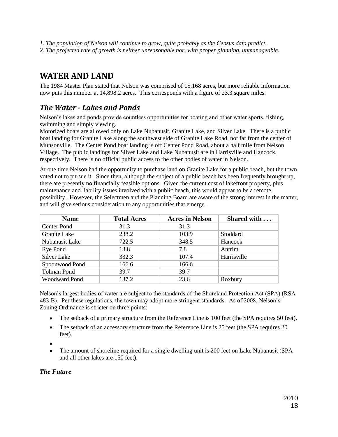- *1. The population of Nelson will continue to grow, quite probably as the Census data predict.*
- *2. The projected rate of growth is neither unreasonable nor, with proper planning, unmanageable.*

# <span id="page-17-0"></span>**WATER AND LAND**

The 1984 Master Plan stated that Nelson was comprised of 15,168 acres, but more reliable information now puts this number at 14,898.2 acres. This corresponds with a figure of 23.3 square miles.

# <span id="page-17-1"></span>*The Water - Lakes and Ponds*

Nelson's lakes and ponds provide countless opportunities for boating and other water sports, fishing, swimming and simply viewing.

Motorized boats are allowed only on Lake Nubanusit, Granite Lake, and Silver Lake. There is a public boat landing for Granite Lake along the southwest side of Granite Lake Road, not far from the center of Munsonville. The Center Pond boat landing is off Center Pond Road, about a half mile from Nelson Village. The public landings for Silver Lake and Lake Nubanusit are in Harrisville and Hancock, respectively. There is no official public access to the other bodies of water in Nelson.

At one time Nelson had the opportunity to purchase land on Granite Lake for a public beach, but the town voted not to pursue it. Since then, although the subject of a public beach has been frequently brought up, there are presently no financially feasible options. Given the current cost of lakefront property, plus maintenance and liability issues involved with a public beach, this would appear to be a remote possibility. However, the Selectmen and the Planning Board are aware of the strong interest in the matter, and will give serious consideration to any opportunities that emerge.

| <b>Name</b>          | <b>Total Acres</b> | <b>Acres in Nelson</b> | Shared with |
|----------------------|--------------------|------------------------|-------------|
| Center Pond          | 31.3               | 31.3                   |             |
| Granite Lake         | 238.2              | 103.9                  | Stoddard    |
| Nubanusit Lake       | 722.5              | 348.5                  | Hancock     |
| Rye Pond             | 13.8               | 7.8                    | Antrim      |
| Silver Lake          | 332.3              | 107.4                  | Harrisville |
| Spoonwood Pond       | 166.6              | 166.6                  |             |
| <b>Tolman Pond</b>   | 39.7               | 39.7                   |             |
| <b>Woodward Pond</b> | 137.2              | 23.6                   | Roxbury     |

Nelson's largest bodies of water are subject to the standards of the Shoreland Protection Act (SPA) (RSA 483-B). Per these regulations, the town may adopt more stringent standards. As of 2008, Nelson's Zoning Ordinance is stricter on three points:

- The setback of a primary structure from the Reference Line is 100 feet (the SPA requires 50 feet).
- The setback of an accessory structure from the Reference Line is 25 feet (the SPA requires 20 feet).
- $\bullet$
- The amount of shoreline required for a single dwelling unit is 200 feet on Lake Nubanusit (SPA  $\bullet$ and all other lakes are 150 feet).

## *The Future*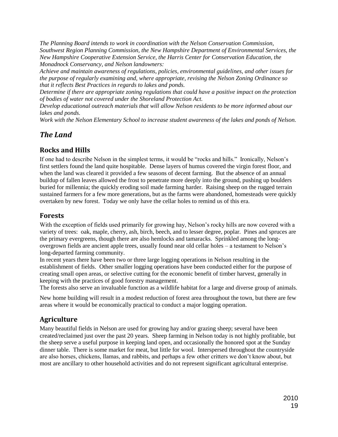*The Planning Board intends to work in coordination with the Nelson Conservation Commission, Southwest Region Planning Commission, the New Hampshire Department of Environmental Services, the New Hampshire Cooperative Extension Service, the Harris Center for Conservation Education, the Monadnock Conservancy, and Nelson landowners:*

*Achieve and maintain awareness of regulations, policies, environmental guidelines, and other issues for the purpose of regularly examining and, where appropriate, revising the Nelson Zoning Ordinance so that it reflects Best Practices in regards to lakes and ponds.* 

*Determine if there are appropriate zoning regulations that could have a positive impact on the protection of bodies of water not covered under the Shoreland Protection Act.*

*Develop educational outreach materials that will allow Nelson residents to be more informed about our lakes and ponds.* 

*Work with the Nelson Elementary School to increase student awareness of the lakes and ponds of Nelson.*

# <span id="page-18-0"></span>*The Land*

## <span id="page-18-1"></span>**Rocks and Hills**

If one had to describe Nelson in the simplest terms, it would be "rocks and hills." Ironically, Nelson's first settlers found the land quite hospitable. Dense layers of humus covered the virgin forest floor, and when the land was cleared it provided a few seasons of decent farming. But the absence of an annual buildup of fallen leaves allowed the frost to penetrate more deeply into the ground, pushing up boulders buried for millennia; the quickly eroding soil made farming harder. Raising sheep on the rugged terrain sustained farmers for a few more generations, but as the farms were abandoned, homesteads were quickly overtaken by new forest. Today we only have the cellar holes to remind us of this era.

## <span id="page-18-2"></span>**Forests**

With the exception of fields used primarily for growing hay, Nelson's rocky hills are now covered with a variety of trees: oak, maple, cherry, ash, birch, beech, and to lesser degree, poplar. Pines and spruces are the primary evergreens, though there are also hemlocks and tamaracks. Sprinkled among the longovergrown fields are ancient apple trees, usually found near old cellar holes – a testament to Nelson's long-departed farming community.

In recent years there have been two or three large logging operations in Nelson resulting in the establishment of fields. Other smaller logging operations have been conducted either for the purpose of creating small open areas, or selective cutting for the economic benefit of timber harvest, generally in keeping with the practices of good forestry management.

The forests also serve an invaluable function as a wildlife habitat for a large and diverse group of animals.

New home building will result in a modest reduction of forest area throughout the town, but there are few areas where it would be economically practical to conduct a major logging operation.

# <span id="page-18-3"></span>**Agriculture**

Many beautiful fields in Nelson are used for growing hay and/or grazing sheep; several have been created/reclaimed just over the past 20 years. Sheep farming in Nelson today is not highly profitable, but the sheep serve a useful purpose in keeping land open, and occasionally the honored spot at the Sunday dinner table. There is some market for meat, but little for wool. Interspersed throughout the countryside are also horses, chickens, llamas, and rabbits, and perhaps a few other critters we don't know about, but most are ancillary to other household activities and do not represent significant agricultural enterprise.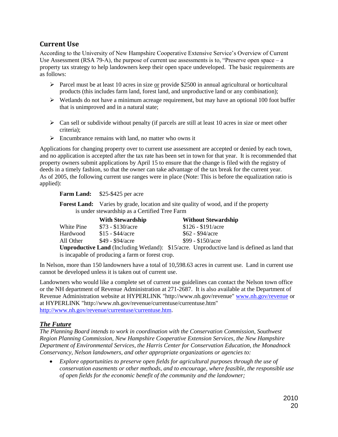## **Current Use**

<span id="page-19-0"></span>According to the University of New Hampshire Cooperative Extensive Service's Overview of Current Use Assessment (RSA 79-A), the purpose of current use assessments is to, "Preserve open space  $-a$ property tax strategy to help landowners keep their open space undeveloped. The basic requirements are as follows:

- Parcel must be at least 10 acres in size or provide \$2500 in annual agricultural or horticultural products (this includes farm land, forest land, and unproductive land or any combination);
- $\triangleright$  Wetlands do not have a minimum acreage requirement, but may have an optional 100 foot buffer that is unimproved and in a natural state;
- $\triangleright$  Can sell or subdivide without penalty (if parcels are still at least 10 acres in size or meet other criteria);
- $\triangleright$  Encumbrance remains with land, no matter who owns it

Applications for changing property over to current use assessment are accepted or denied by each town, and no application is accepted after the tax rate has been set in town for that year. It is recommended that property owners submit applications by April 15 to ensure that the change is filed with the registry of deeds in a timely fashion, so that the owner can take advantage of the tax break for the current year. As of 2005, the following current use ranges were in place (Note: This is before the equalization ratio is applied):

Farm Land: \$25-\$425 per acre

**Forest Land:** Varies by grade, location and site quality of wood, and if the property is under stewardship as a Certified Tree Farm

|            | <b>With Stewardship</b>  | <b>Without Stewardship</b>                                                                         |
|------------|--------------------------|----------------------------------------------------------------------------------------------------|
| White Pine | $$73 - $130/accre$       | $$126 - $191/acre$                                                                                 |
| Hardwood   | $$15 - $44/ \text{acre}$ | $$62 - $94/acre$                                                                                   |
| All Other  | \$49 - \$94/acre         | $$99 - $150/$ acre                                                                                 |
|            |                          | <b>Unproductive Land</b> (Including Wetland): \$15/acre. Unproductive land is defined as land that |
|            |                          |                                                                                                    |

is incapable of producing a farm or forest crop.

In Nelson, more than 150 landowners have a total of 10,598.63 acres in current use. Land in current use cannot be developed unless it is taken out of current use.

Landowners who would like a complete set of current use guidelines can contact the Nelson town office or the NH department of Revenue Administration at 271-2687. It is also available at the Department of Revenue Administration website at HYPERLINK "http://www.nh.gov/revenue" www.nh.gov/revenue or at HYPERLINK "http://www.nh.gov/revenue/currentuse/currentuse.htm" http://www.nh.gov/revenue/currentuse/currentuse.htm.

#### *The Future*

*The Planning Board intends to work in coordination with the Conservation Commission, Southwest Region Planning Commission, New Hampshire Cooperative Extension Services, the New Hampshire Department of Environmental Services, the Harris Center for Conservation Education, the Monadnock Conservancy, Nelson landowners, and other appropriate organizations or agencies to:*

*Explore opportunities to preserve open fields for agricultural purposes through the use of conservation easements or other methods, and to encourage, where feasible, the responsible use of open fields for the economic benefit of the community and the landowner;*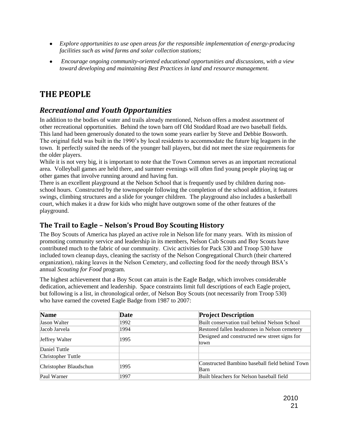- *Explore opportunities to use open areas for the responsible implementation of energy-producing facilities such as wind farms and solar collection stations;*
- *Encourage ongoing community-oriented educational opportunities and discussions, with a view toward developing and maintaining Best Practices in land and resource management.*

# <span id="page-20-0"></span>**THE PEOPLE**

# <span id="page-20-1"></span>*Recreational and Youth Opportunities*

In addition to the bodies of water and trails already mentioned, Nelson offers a modest assortment of other recreational opportunities. Behind the town barn off Old Stoddard Road are two baseball fields. This land had been generously donated to the town some years earlier by Steve and Debbie Bosworth. The original field was built in the 1990's by local residents to accommodate the future big leaguers in the town. It perfectly suited the needs of the younger ball players, but did not meet the size requirements for the older players.

While it is not very big, it is important to note that the Town Common serves as an important recreational area. Volleyball games are held there, and summer evenings will often find young people playing tag or other games that involve running around and having fun.

There is an excellent playground at the Nelson School that is frequently used by children during nonschool hours. Constructed by the townspeople following the completion of the school addition, it features swings, climbing structures and a slide for younger children. The playground also includes a basketball court, which makes it a draw for kids who might have outgrown some of the other features of the playground.

# <span id="page-20-2"></span>**The Trail to Eagle – Nelson's Proud Boy Scouting History**

The Boy Scouts of America has played an active role in Nelson life for many years. With its mission of promoting community service and leadership in its members, Nelson Cub Scouts and Boy Scouts have contributed much to the fabric of our community. Civic activities for Pack 530 and Troop 530 have included town cleanup days, cleaning the sacristy of the Nelson Congregational Church (their chartered organization), raking leaves in the Nelson Cemetery, and collecting food for the needy through BSA's annual *Scouting for Food* program.

The highest achievement that a Boy Scout can attain is the Eagle Badge, which involves considerable dedication, achievement and leadership. Space constraints limit full descriptions of each Eagle project, but following is a list, in chronological order, of Nelson Boy Scouts (not necessarily from Troop 530) who have earned the coveted Eagle Badge from 1987 to 2007:

| <b>Name</b>            | Date | <b>Project Description</b>                     |  |  |
|------------------------|------|------------------------------------------------|--|--|
| <b>Jason Walter</b>    | 1992 | Built conservation trail behind Nelson School  |  |  |
| Jacob Jarvela          | 1994 | Restored fallen headstones in Nelson cemetery  |  |  |
| Jeffrey Walter         | 1995 | Designed and constructed new street signs for  |  |  |
|                        |      | town                                           |  |  |
| Daniel Tuttle          |      |                                                |  |  |
| Christopher Tuttle     |      |                                                |  |  |
| Christopher Blaudschun | 1995 | Constructed Bambino baseball field behind Town |  |  |
|                        |      | Barn                                           |  |  |
| Paul Warner            | 1997 | Built bleachers for Nelson baseball field      |  |  |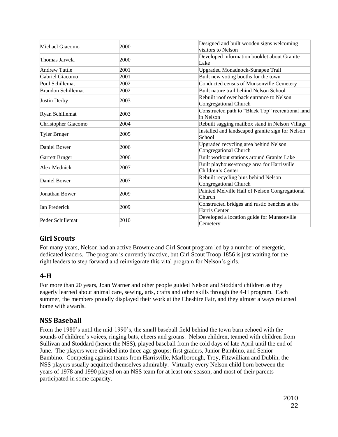| Michael Giacomo           | 2000 | Designed and built wooden signs welcoming<br>visitors to Nelson    |  |
|---------------------------|------|--------------------------------------------------------------------|--|
| Thomas Jarvela            | 2000 | Developed information booklet about Granite<br>Lake                |  |
| Andrew Tuttle             | 2001 | <b>Upgraded Monadnock-Sunapee Trail</b>                            |  |
| Gabriel Giacomo           | 2001 | Built new voting booths for the town                               |  |
| Poul Schillemat           | 2002 | Conducted census of Munsonville Cemetery                           |  |
| <b>Brandon Schillemat</b> | 2002 | Built nature trail behind Nelson School                            |  |
| Justin Derby              | 2003 | Rebuilt roof over back entrance to Nelson<br>Congregational Church |  |
| Ryan Schillemat           | 2003 | Constructed path to "Black Top" recreational land<br>in Nelson     |  |
| Christopher Giacomo       | 2004 | Rebuilt sagging mailbox stand in Nelson Village                    |  |
| Tyler Brnger              | 2005 | Installed and landscaped granite sign for Nelson<br>School         |  |
| Daniel Bower              | 2006 | Upgraded recycling area behind Nelson<br>Congregational Church     |  |
| Garrett Brnger            | 2006 | Built workout stations around Granite Lake                         |  |
| Alex Mednick              | 2007 | Built playhouse/storage area for Harrisville<br>Children's Center  |  |
| Daniel Bower              | 2007 | Rebuilt recycling bins behind Nelson<br>Congregational Church      |  |
| Jonathan Bower            | 2009 | Painted Melville Hall of Nelson Congregational<br>Church           |  |
| <b>Ian Frederick</b>      | 2009 | Constructed bridges and rustic benches at the<br>Harris Center     |  |
| Peder Schillemat          | 2010 | Developed a location guide for Munsonville<br>Cemetery             |  |

# <span id="page-21-0"></span>**Girl Scouts**

For many years, Nelson had an active Brownie and Girl Scout program led by a number of energetic, dedicated leaders. The program is currently inactive, but Girl Scout Troop 1856 is just waiting for the right leaders to step forward and reinvigorate this vital program for Nelson's girls.

# <span id="page-21-1"></span>**4-H**

For more than 20 years, Joan Warner and other people guided Nelson and Stoddard children as they eagerly learned about animal care, sewing, arts, crafts and other skills through the 4-H program. Each summer, the members proudly displayed their work at the Cheshire Fair, and they almost always returned home with awards.

# <span id="page-21-2"></span>**NSS Baseball**

From the 1980's until the mid-1990's, the small baseball field behind the town barn echoed with the sounds of children's voices, ringing bats, cheers and groans. Nelson children, teamed with children from Sullivan and Stoddard (hence the NSS), played baseball from the cold days of late April until the end of June. The players were divided into three age groups: first graders, Junior Bambino, and Senior Bambino. Competing against teams from Harrisville, Marlborough, Troy, Fitzwilliam and Dublin, the NSS players usually acquitted themselves admirably. Virtually every Nelson child born between the years of 1978 and 1990 played on an NSS team for at least one season, and most of their parents participated in some capacity.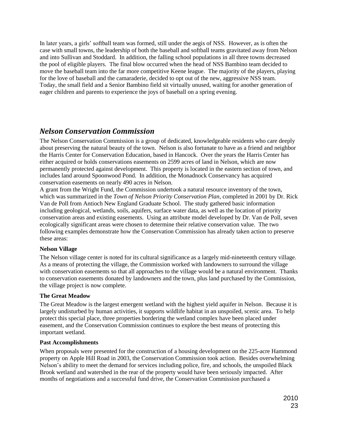In later years, a girls' softball team was formed, still under the aegis of NSS. However, as is often the case with small towns, the leadership of both the baseball and softball teams gravitated away from Nelson and into Sullivan and Stoddard. In addition, the falling school populations in all three towns decreased the pool of eligible players. The final blow occurred when the head of NSS Bambino team decided to move the baseball team into the far more competitive Keene league. The majority of the players, playing for the love of baseball and the camaraderie, decided to opt out of the new, aggressive NSS team. Today, the small field and a Senior Bambino field sit virtually unused, waiting for another generation of eager children and parents to experience the joys of baseball on a spring evening.

# <span id="page-22-0"></span>*Nelson Conservation Commission*

The Nelson Conservation Commission is a group of dedicated, knowledgeable residents who care deeply about preserving the natural beauty of the town. Nelson is also fortunate to have as a friend and neighbor the Harris Center for Conservation Education, based in Hancock. Over the years the Harris Center has either acquired or holds conservations easements on 2599 acres of land in Nelson, which are now permanently protected against development. This property is located in the eastern section of town, and includes land around Spoonwood Pond. In addition, the Monadnock Conservancy has acquired conservation easements on nearly 490 acres in Nelson.

A grant from the Wright Fund, the Commission undertook a natural resource inventory of the town, which was summarized in the *Town of Nelson Priority Conservation Plan*, completed in 2001 by Dr. Rick Van de Poll from Antioch New England Graduate School. The study gathered basic information including geological, wetlands, soils, aquifers, surface water data, as well as the location of priority conservation areas and existing easements. Using an attribute model developed by Dr. Van de Poll, seven ecologically significant areas were chosen to determine their relative conservation value. The two following examples demonstrate how the Conservation Commission has already taken action to preserve these areas:

#### **Nelson Village**

The Nelson village center is noted for its cultural significance as a largely mid-nineteenth century village. As a means of protecting the village, the Commission worked with landowners to surround the village with conservation easements so that all approaches to the village would be a natural environment. Thanks to conservation easements donated by landowners and the town, plus land purchased by the Commission, the village project is now complete.

#### **The Great Meadow**

The Great Meadow is the largest emergent wetland with the highest yield aquifer in Nelson. Because it is largely undisturbed by human activities, it supports wildlife habitat in an unspoiled, scenic area. To help protect this special place, three properties bordering the wetland complex have been placed under easement, and the Conservation Commission continues to explore the best means of protecting this important wetland.

#### **Past Accomplishments**

When proposals were presented for the construction of a housing development on the 225-acre Hammond property on Apple Hill Road in 2003, the Conservation Commission took action. Besides overwhelming Nelson's ability to meet the demand for services including police, fire, and schools, the unspoiled Black Brook wetland and watershed in the rear of the property would have been seriously impacted. After months of negotiations and a successful fund drive, the Conservation Commission purchased a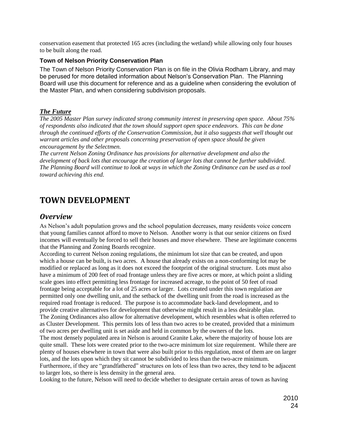conservation easement that protected 165 acres (including the wetland) while allowing only four houses to be built along the road.

#### **Town of Nelson Priority Conservation Plan**

The Town of Nelson Priority Conservation Plan is on file in the Olivia Rodham Library, and may be perused for more detailed information about Nelson's Conservation Plan. The Planning Board will use this document for reference and as a guideline when considering the evolution of the Master Plan, and when considering subdivision proposals.

#### *The Future*

*The 2005 Master Plan survey indicated strong community interest in preserving open space. About 75% of respondents also indicated that the town should support open space endeavors. This can be done through the continued efforts of the Conservation Commission, but it also suggests that well thought out warrant articles and other proposals concerning preservation of open space should be given encouragement by the Selectmen.* 

*The current Nelson Zoning Ordinance has provisions for alternative development and also the development of back lots that encourage the creation of larger lots that cannot be further subdivided. The Planning Board will continue to look at ways in which the Zoning Ordinance can be used as a tool toward achieving this end.*

# <span id="page-23-0"></span>**TOWN DEVELOPMENT**

### <span id="page-23-1"></span>*Overview*

As Nelson's adult population grows and the school population decreases, many residents voice concern that young families cannot afford to move to Nelson. Another worry is that our senior citizens on fixed incomes will eventually be forced to sell their houses and move elsewhere. These are legitimate concerns that the Planning and Zoning Boards recognize.

According to current Nelson zoning regulations, the minimum lot size that can be created, and upon which a house can be built, is two acres. A house that already exists on a non-conforming lot may be modified or replaced as long as it does not exceed the footprint of the original structure. Lots must also have a minimum of 200 feet of road frontage unless they are five acres or more, at which point a sliding scale goes into effect permitting less frontage for increased acreage, to the point of 50 feet of road frontage being acceptable for a lot of 25 acres or larger. Lots created under this town regulation are permitted only one dwelling unit, and the setback of the dwelling unit from the road is increased as the required road frontage is reduced. The purpose is to accommodate back-land development, and to provide creative alternatives for development that otherwise might result in a less desirable plan. The Zoning Ordinances also allow for alternative development, which resembles what is often referred to as Cluster Development. This permits lots of less than two acres to be created, provided that a minimum of two acres per dwelling unit is set aside and held in common by the owners of the lots.

The most densely populated area in Nelson is around Granite Lake, where the majority of house lots are quite small. These lots were created prior to the two-acre minimum lot size requirement. While there are plenty of houses elsewhere in town that were also built prior to this regulation, most of them are on larger lots, and the lots upon which they sit cannot be subdivided to less than the two-acre minimum.

Furthermore, if they are "grandfathered" structures on lots of less than two acres, they tend to be adjacent to larger lots, so there is less density in the general area.

Looking to the future, Nelson will need to decide whether to designate certain areas of town as having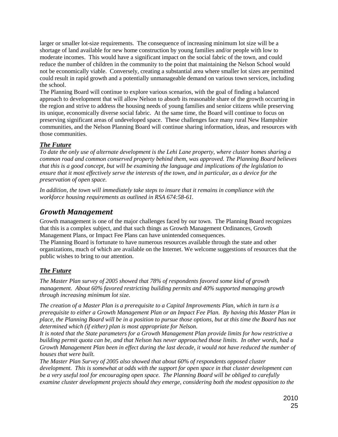larger or smaller lot-size requirements. The consequence of increasing minimum lot size will be a shortage of land available for new home construction by young families and/or people with low to moderate incomes. This would have a significant impact on the social fabric of the town, and could reduce the number of children in the community to the point that maintaining the Nelson School would not be economically viable. Conversely, creating a substantial area where smaller lot sizes are permitted could result in rapid growth and a potentially unmanageable demand on various town services, including the school.

The Planning Board will continue to explore various scenarios, with the goal of finding a balanced approach to development that will allow Nelson to absorb its reasonable share of the growth occurring in the region and strive to address the housing needs of young families and senior citizens while preserving its unique, economically diverse social fabric. At the same time, the Board will continue to focus on preserving significant areas of undeveloped space. These challenges face many rural New Hampshire communities, and the Nelson Planning Board will continue sharing information, ideas, and resources with those communities.

#### *The Future*

*To date the only use of alternate development is the Lehi Lane property, where cluster homes sharing a common road and common conserved property behind them, was approved. The Planning Board believes that this is a good concept, but will be examining the language and implications of the legislation to ensure that it most effectively serve the interests of the town, and in particular, as a device for the preservation of open space.*

*In addition, the town will immediately take steps to insure that it remains in compliance with the workforce housing requirements as outlined in RSA 674:58-61.*

# <span id="page-24-0"></span>*Growth Management*

Growth management is one of the major challenges faced by our town. The Planning Board recognizes that this is a complex subject, and that such things as Growth Management Ordinances, Growth Management Plans, or Impact Fee Plans can have unintended consequences.

The Planning Board is fortunate to have numerous resources available through the state and other organizations, much of which are available on the Internet. We welcome suggestions of resources that the public wishes to bring to our attention.

## *The Future*

*The Master Plan survey of 2005 showed that 78% of respondents favored some kind of growth management. About 60% favored restricting building permits and 40% supported managing growth through increasing minimum lot size.* 

*The creation of a Master Plan is a prerequisite to a Capital Improvements Plan, which in turn is a prerequisite to either a Growth Management Plan or an Impact Fee Plan. By having this Master Plan in place, the Planning Board will be in a position to pursue those options, but at this time the Board has not determined which (if either) plan is most appropriate for Nelson.* 

*It is noted that the State parameters for a Growth Management Plan provide limits for how restrictive a building permit quota can be, and that Nelson has never approached those limits. In other words, had a Growth Management Plan been in effect during the last decade, it would not have reduced the number of houses that were built.* 

*The Master Plan Survey of 2005 also showed that about 60% of respondents opposed cluster development. This is somewhat at odds with the support for open space in that cluster development can be a very useful tool for encouraging open space. The Planning Board will be obliged to carefully examine cluster development projects should they emerge, considering both the modest opposition to the*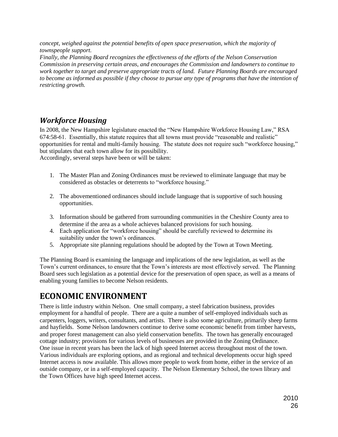*concept, weighed against the potential benefits of open space preservation, which the majority of townspeople support.* 

*Finally, the Planning Board recognizes the effectiveness of the efforts of the Nelson Conservation Commission in preserving certain areas, and encourages the Commission and landowners to continue to work together to target and preserve appropriate tracts of land. Future Planning Boards are encouraged to become as informed as possible if they choose to pursue any type of programs that have the intention of restricting growth.* 

# <span id="page-25-0"></span>*Workforce Housing*

In 2008, the New Hampshire legislature enacted the "New Hampshire Workforce Housing Law," RSA 674:58-61. Essentially, this statute requires that all towns must provide "reasonable and realistic" opportunities for rental and multi-family housing. The statute does not require such "workforce housing," but stipulates that each town allow for its possibility.

Accordingly, several steps have been or will be taken:

- 1. The Master Plan and Zoning Ordinances must be reviewed to eliminate language that may be considered as obstacles or deterrents to "workforce housing."
- 2. The abovementioned ordinances should include language that is supportive of such housing opportunities.
- 3. Information should be gathered from surrounding communities in the Cheshire County area to determine if the area as a whole achieves balanced provisions for such housing.
- 4. Each application for "workforce housing" should be carefully reviewed to determine its suitability under the town's ordinances.
- 5. Appropriate site planning regulations should be adopted by the Town at Town Meeting.

The Planning Board is examining the language and implications of the new legislation, as well as the Town's current ordinances, to ensure that the Town's interests are most effectively served. The Planning Board sees such legislation as a potential device for the preservation of open space, as well as a means of enabling young families to become Nelson residents.

# <span id="page-25-1"></span>**ECONOMIC ENVIRONMENT**

There is little industry within Nelson. One small company, a steel fabrication business, provides employment for a handful of people. There are a quite a number of self-employed individuals such as carpenters, loggers, writers, consultants, and artists. There is also some agriculture, primarily sheep farms and hayfields. Some Nelson landowners continue to derive some economic benefit from timber harvests, and proper forest management can also yield conservation benefits. The town has generally encouraged cottage industry; provisions for various levels of businesses are provided in the Zoning Ordinance. One issue in recent years has been the lack of high speed Internet access throughout most of the town. Various individuals are exploring options, and as regional and technical developments occur high speed Internet access is now available. This allows more people to work from home, either in the service of an outside company, or in a self-employed capacity. The Nelson Elementary School, the town library and the Town Offices have high speed Internet access.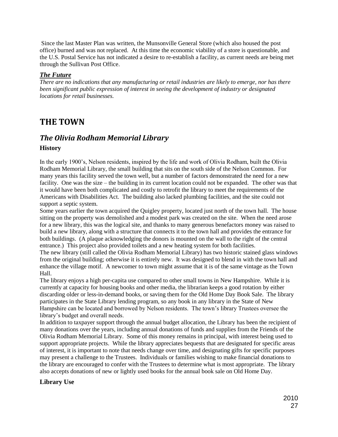Since the last Master Plan was written, the Munsonville General Store (which also housed the post office) burned and was not replaced. At this time the economic viability of a store is questionable, and the U.S. Postal Service has not indicated a desire to re-establish a facility, as current needs are being met through the Sullivan Post Office.

#### *The Future*

*There are no indications that any manufacturing or retail industries are likely to emerge, nor has there been significant public expression of interest in seeing the development of industry or designated locations for retail businesses.*

# <span id="page-26-0"></span>**THE TOWN**

# <span id="page-26-1"></span>*The Olivia Rodham Memorial Library* **History**

In the early 1900's, Nelson residents, inspired by the life and work of Olivia Rodham, built the Olivia Rodham Memorial Library, the small building that sits on the south side of the Nelson Common. For many years this facility served the town well, but a number of factors demonstrated the need for a new facility. One was the size – the building in its current location could not be expanded. The other was that it would have been both complicated and costly to retrofit the library to meet the requirements of the Americans with Disabilities Act. The building also lacked plumbing facilities, and the site could not support a septic system.

Some years earlier the town acquired the Quigley property, located just north of the town hall. The house sitting on the property was demolished and a modest park was created on the site. When the need arose for a new library, this was the logical site, and thanks to many generous benefactors money was raised to build a new library, along with a structure that connects it to the town hall and provides the entrance for both buildings. (A plaque acknowledging the donors is mounted on the wall to the right of the central entrance.) This project also provided toilets and a new heating system for both facilities.

The new library (still called the Olivia Rodham Memorial Library) has two historic stained glass windows from the original building; otherwise it is entirely new. It was designed to blend in with the town hall and enhance the village motif. A newcomer to town might assume that it is of the same vintage as the Town Hall.

The library enjoys a high per-capita use compared to other small towns in New Hampshire. While it is currently at capacity for housing books and other media, the librarian keeps a good rotation by either discarding older or less-in-demand books, or saving them for the Old Home Day Book Sale. The library participates in the State Library lending program, so any book in any library in the State of New Hampshire can be located and borrowed by Nelson residents. The town's library Trustees oversee the library's budget and overall needs.

In addition to taxpayer support through the annual budget allocation, the Library has been the recipient of many donations over the years, including annual donations of funds and supplies from the Friends of the Olivia Rodham Memorial Library. Some of this money remains in principal, with interest being used to support appropriate projects. While the library appreciates bequests that are designated for specific areas of interest, it is important to note that needs change over time, and designating gifts for specific purposes may present a challenge to the Trustees. Individuals or families wishing to make financial donations to the library are encouraged to confer with the Trustees to determine what is most appropriate. The library also accepts donations of new or lightly used books for the annual book sale on Old Home Day.

#### **Library Use**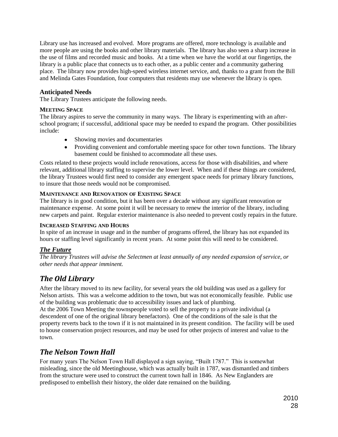Library use has increased and evolved. More programs are offered, more technology is available and more people are using the books and other library materials. The library has also seen a sharp increase in the use of films and recorded music and books. At a time when we have the world at our fingertips, the library is a public place that connects us to each other, as a public center and a community gathering place. The library now provides high-speed wireless internet service, and, thanks to a grant from the Bill and Melinda Gates Foundation, four computers that residents may use whenever the library is open.

#### **Anticipated Needs**

The Library Trustees anticipate the following needs.

#### **MEETING SPACE**

The library aspires to serve the community in many ways. The library is experimenting with an afterschool program; if successful, additional space may be needed to expand the program. Other possibilities include:

- Showing movies and documentaries
- Providing convenient and comfortable meeting space for other town functions. The library basement could be finished to accommodate all these uses.

Costs related to these projects would include renovations, access for those with disabilities, and where relevant, additional library staffing to supervise the lower level. When and if these things are considered, the library Trustees would first need to consider any emergent space needs for primary library functions, to insure that those needs would not be compromised.

#### **MAINTENANCE AND RENOVATION OF EXISTING SPACE**

The library is in good condition, but it has been over a decade without any significant renovation or maintenance expense. At some point it will be necessary to renew the interior of the library, including new carpets and paint. Regular exterior maintenance is also needed to prevent costly repairs in the future.

#### **INCREASED STAFFING AND HOURS**

In spite of an increase in usage and in the number of programs offered, the library has not expanded its hours or staffing level significantly in recent years. At some point this will need to be considered.

#### *The Future*

*The library Trustees will advise the Selectmen at least annually of any needed expansion of service, or other needs that appear imminent.* 

# <span id="page-27-0"></span>*The Old Library*

After the library moved to its new facility, for several years the old building was used as a gallery for Nelson artists. This was a welcome addition to the town, but was not economically feasible. Public use of the building was problematic due to accessibility issues and lack of plumbing.

At the 2006 Town Meeting the townspeople voted to sell the property to a private individual (a descendent of one of the original library benefactors). One of the conditions of the sale is that the property reverts back to the town if it is not maintained in its present condition. The facility will be used to house conservation project resources, and may be used for other projects of interest and value to the town.

# <span id="page-27-1"></span>*The Nelson Town Hall*

For many years The Nelson Town Hall displayed a sign saying, "Built 1787." This is somewhat misleading, since the old Meetinghouse, which was actually built in 1787, was dismantled and timbers from the structure were used to construct the current town hall in 1846. As New Englanders are predisposed to embellish their history, the older date remained on the building.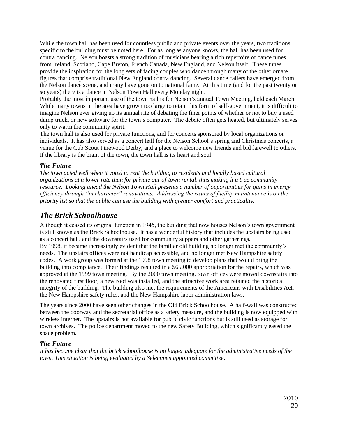While the town hall has been used for countless public and private events over the years, two traditions specific to the building must be noted here. For as long as anyone knows, the hall has been used for contra dancing. Nelson boasts a strong tradition of musicians bearing a rich repertoire of dance tunes from Ireland, Scotland, Cape Breton, French Canada, New England, and Nelson itself. These tunes provide the inspiration for the long sets of facing couples who dance through many of the other ornate figures that comprise traditional New England contra dancing. Several dance callers have emerged from the Nelson dance scene, and many have gone on to national fame. At this time (and for the past twenty or so years) there is a dance in Nelson Town Hall every Monday night.

Probably the most important use of the town hall is for Nelson's annual Town Meeting, held each March. While many towns in the area have grown too large to retain this form of self-government, it is difficult to imagine Nelson ever giving up its annual rite of debating the finer points of whether or not to buy a used dump truck, or new software for the town's computer. The debate often gets heated, but ultimately serves only to warm the community spirit.

The town hall is also used for private functions, and for concerts sponsored by local organizations or individuals. It has also served as a concert hall for the Nelson School's spring and Christmas concerts, a venue for the Cub Scout Pinewood Derby, and a place to welcome new friends and bid farewell to others. If the library is the brain of the town, the town hall is its heart and soul.

#### *The Future*

*The town acted well when it voted to rent the building to residents and locally based cultural organizations at a lower rate than for private out-of-town rental, thus making it a true community resource. Looking ahead the Nelson Town Hall presents a number of opportunities for gains in energy efficiency through "in character" renovations. Addressing the issues of facility maintenance is on the priority list so that the public can use the building with greater comfort and practicality.* 

## <span id="page-28-0"></span>*The Brick Schoolhouse*

Although it ceased its original function in 1945, the building that now houses Nelson's town government is still known as the Brick Schoolhouse. It has a wonderful history that includes the upstairs being used as a concert hall, and the downstairs used for community suppers and other gatherings.

By 1998, it became increasingly evident that the familiar old building no longer met the community's needs. The upstairs offices were not handicap accessible, and no longer met New Hampshire safety codes. A work group was formed at the 1998 town meeting to develop plans that would bring the building into compliance. Their findings resulted in a \$65,000 appropriation for the repairs, which was approved at the 1999 town meeting. By the 2000 town meeting, town offices were moved downstairs into the renovated first floor, a new roof was installed, and the attractive work area retained the historical integrity of the building. The building also met the requirements of the Americans with Disabilities Act, the New Hampshire safety rules, and the New Hampshire labor administration laws.

The years since 2000 have seen other changes in the Old Brick Schoolhouse. A half-wall was constructed between the doorway and the secretarial office as a safety measure, and the building is now equipped with wireless internet. The upstairs is not available for public civic functions but is still used as storage for town archives. The police department moved to the new Safety Building, which significantly eased the space problem.

#### *The Future*

*It has become clear that the brick schoolhouse is no longer adequate for the administrative needs of the town. This situation is being evaluated by a Selectmen appointed committee.*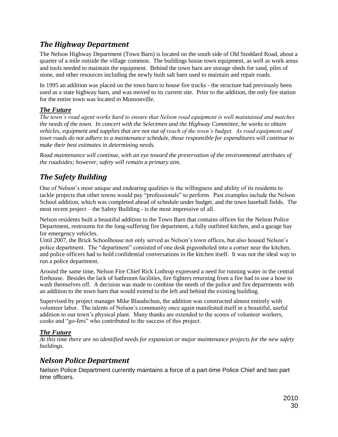# <span id="page-29-0"></span>*The Highway Department*

The Nelson Highway Department (Town Barn) is located on the south side of Old Stoddard Road, about a quarter of a mile outside the village common. The buildings house town equipment, as well as work areas and tools needed to maintain the equipment. Behind the town barn are storage sheds for sand, piles of stone, and other resources including the newly built salt barn used to maintain and repair roads.

In 1995 an addition was placed on the town barn to house fire trucks - the structure had previously been used as a state highway barn, and was moved to its current site. Prior to the addition, the only fire station for the entire town was located in Munsonville.

#### *The Future*

*The town's road agent works hard to ensure that Nelson road equipment is well maintained and matches the needs of the town. In concert with the Selectmen and the Highway Committee, he works to obtain vehicles, equipment and supplies that are not out of reach of the town's budget. As road equipment and town roads do not adhere to a maintenance schedule, those responsible for expenditures will continue to make their best estimates in determining needs.*

*Road maintenance will continue, with an eye toward the preservation of the environmental attributes of the roadsides; however, safety will remain a primary aim.*

# <span id="page-29-1"></span>*The Safety Building*

One of Nelson's most unique and endearing qualities is the willingness and ability of its residents to tackle projects that other towns would pay "professionals" to perform. Past examples include the Nelson School addition, which was completed ahead of schedule under budget, and the town baseball fields. The most recent project – the Safety Building - is the most impressive of all.

Nelson residents built a beautiful addition to the Town Barn that contains offices for the Nelson Police Department, restrooms for the long-suffering fire department, a fully outfitted kitchen, and a garage bay for emergency vehicles.

Until 2007, the Brick Schoolhouse not only served as Nelson's town offices, but also housed Nelson's police department. The "department" consisted of one desk pigeonholed into a corner near the kitchen, and police officers had to hold confidential conversations in the kitchen itself. It was not the ideal way to run a police department.

Around the same time, Nelson Fire Chief Rick Lothrop expressed a need for running water in the central firehouse. Besides the lack of bathroom facilities, fire fighters returning from a fire had to use a hose to wash themselves off. A decision was made to combine the needs of the police and fire departments with an addition to the town barn that would extend to the left and behind the existing building.

Supervised by project manager Mike Blaudschun, the addition was constructed almost entirely with volunteer labor. The talents of Nelson's community once again manifested itself in a beautiful, useful addition to our town's physical plant. Many thanks are extended to the scores of volunteer workers, cooks and "go-fers" who contributed to the success of this project.

#### *The Future*

*At this time there are no identified needs for expansion or major maintenance projects for the new safety buildings.*

# <span id="page-29-2"></span>*Nelson Police Department*

Nelson Police Department currently maintains a force of a part-time Police Chief and two part time officers.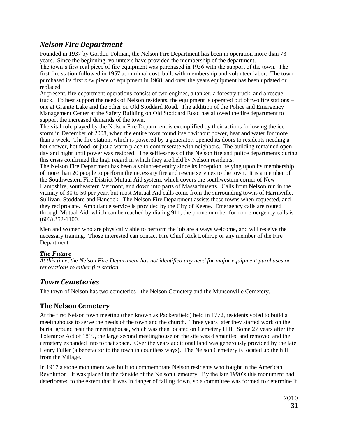# *Nelson Fire Department*

<span id="page-30-0"></span>Founded in 1937 by Gordon Tolman, the Nelson Fire Department has been in operation more than 73 years. Since the beginning, volunteers have provided the membership of the department.

The town's first real piece of fire equipment was purchased in 1956 with the support of the town. The first fire station followed in 1957 at minimal cost, built with membership and volunteer labor. The town purchased its first *new* piece of equipment in 1968, and over the years equipment has been updated or replaced.

At present, fire department operations consist of two engines, a tanker, a forestry truck, and a rescue truck. To best support the needs of Nelson residents, the equipment is operated out of two fire stations – one at Granite Lake and the other on Old Stoddard Road. The addition of the Police and Emergency Management Center at the Safety Building on Old Stoddard Road has allowed the fire department to support the increased demands of the town.

The vital role played by the Nelson Fire Department is exemplified by their actions following the ice storm in December of 2008, when the entire town found itself without power, heat and water for more than a week. The fire station, which is powered by a generator, opened its doors to residents needing a hot shower, hot food, or just a warm place to commiserate with neighbors. The building remained open day and night until power was restored. The selflessness of the Nelson fire and police departments during this crisis confirmed the high regard in which they are held by Nelson residents.

The Nelson Fire Department has been a volunteer entity since its inception, relying upon its membership of more than 20 people to perform the necessary fire and rescue services to the town. It is a member of the Southwestern Fire District Mutual Aid system, which covers the southwestern corner of New Hampshire, southeastern Vermont, and down into parts of Massachusetts. Calls from Nelson run in the vicinity of 30 to 50 per year, but most Mutual Aid calls come from the surrounding towns of Harrisville, Sullivan, Stoddard and Hancock. The Nelson Fire Department assists these towns when requested, and they reciprocate. Ambulance service is provided by the City of Keene. Emergency calls are routed through Mutual Aid, which can be reached by dialing 911; the phone number for non-emergency calls is (603) 352-1100.

Men and women who are physically able to perform the job are always welcome, and will receive the necessary training. Those interested can contact Fire Chief Rick Lothrop or any member of the Fire Department.

#### *The Future*

*At this time, the Nelson Fire Department has not identified any need for major equipment purchases or renovations to either fire station.*

# <span id="page-30-1"></span>*Town Cemeteries*

The town of Nelson has two cemeteries - the Nelson Cemetery and the Munsonville Cemetery.

# <span id="page-30-2"></span>**The Nelson Cemetery**

At the first Nelson town meeting (then known as Packersfield) held in 1772, residents voted to build a meetinghouse to serve the needs of the town and the church. Three years later they started work on the burial ground near the meetinghouse, which was then located on Cemetery Hill. Some 27 years after the Tolerance Act of 1819, the large second meetinghouse on the site was dismantled and removed and the cemetery expanded into to that space. Over the years additional land was generously provided by the late Henry Fuller (a benefactor to the town in countless ways). The Nelson Cemetery is located up the hill from the Village.

In 1917 a stone monument was built to commemorate Nelson residents who fought in the American Revolution. It was placed in the far side of the Nelson Cemetery. By the late 1990's this monument had deteriorated to the extent that it was in danger of falling down, so a committee was formed to determine if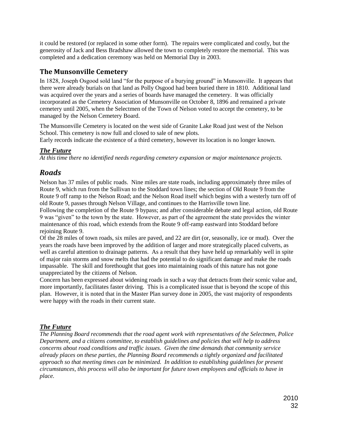it could be restored (or replaced in some other form). The repairs were complicated and costly, but the generosity of Jack and Bess Bradshaw allowed the town to completely restore the memorial. This was completed and a dedication ceremony was held on Memorial Day in 2003.

## <span id="page-31-0"></span>**The Munsonville Cemetery**

In 1828, Joseph Osgood sold land "for the purpose of a burying ground" in Munsonville. It appears that there were already burials on that land as Polly Osgood had been buried there in 1810. Additional land was acquired over the years and a series of boards have managed the cemetery. It was officially incorporated as the Cemetery Association of Munsonville on October 8, 1896 and remained a private cemetery until 2005, when the Selectmen of the Town of Nelson voted to accept the cemetery, to be managed by the Nelson Cemetery Board.

The Munsonville Cemetery is located on the west side of Granite Lake Road just west of the Nelson School. This cemetery is now full and closed to sale of new plots.

Early records indicate the existence of a third cemetery, however its location is no longer known.

#### *The Future*

<span id="page-31-1"></span>*At this time there no identified needs regarding cemetery expansion or major maintenance projects.*

# *Roads*

Nelson has 37 miles of public roads. Nine miles are state roads, including approximately three miles of Route 9, which run from the Sullivan to the Stoddard town lines; the section of Old Route 9 from the Route 9 off ramp to the Nelson Road; and the Nelson Road itself which begins with a westerly turn off of old Route 9, passes through Nelson Village, and continues to the Harrisville town line.

Following the completion of the Route 9 bypass; and after considerable debate and legal action, old Route 9 was "given" to the town by the state. However, as part of the agreement the state provides the winter maintenance of this road, which extends from the Route 9 off-ramp eastward into Stoddard before rejoining Route 9.

Of the 28 miles of town roads, six miles are paved, and 22 are dirt (or, seasonally, ice or mud). Over the years the roads have been improved by the addition of larger and more strategically placed culverts, as well as careful attention to drainage patterns. As a result that they have held up remarkably well in spite of major rain storms and snow melts that had the potential to do significant damage and make the roads impassable. The skill and forethought that goes into maintaining roads of this nature has not gone unappreciated by the citizens of Nelson.

Concern has been expressed about widening roads in such a way that detracts from their scenic value and, more importantly, facilitates faster driving. This is a complicated issue that is beyond the scope of this plan. However, it is noted that in the Master Plan survey done in 2005, the vast majority of respondents were happy with the roads in their current state.

#### *The Future*

*The Planning Board recommends that the road agent work with representatives of the Selectmen, Police Department, and a citizens committee, to establish guidelines and policies that will help to address concerns about road conditions and traffic issues. Given the time demands that community service already places on these parties, the Planning Board recommends a tightly organized and facilitated approach so that meeting times can be minimized. In addition to establishing guidelines for present circumstances, this process will also be important for future town employees and officials to have in place.*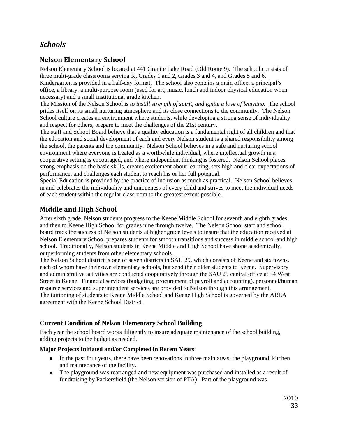# <span id="page-32-0"></span>*Schools*

# <span id="page-32-1"></span>**Nelson Elementary School**

Nelson Elementary School is located at 441 Granite Lake Road (Old Route 9). The school consists of three multi-grade classrooms serving K, Grades 1 and 2, Grades 3 and 4, and Grades 5 and 6. Kindergarten is provided in a half-day format. The school also contains a main office, a principal's office, a library, a multi-purpose room (used for art, music, lunch and indoor physical education when necessary) and a small institutional grade kitchen.

The Mission of the Nelson School is *to instill strength of spirit, and ignite a love of learning.* The school prides itself on its small nurturing atmosphere and its close connections to the community. The Nelson School culture creates an environment where students, while developing a strong sense of individuality and respect for others, prepare to meet the challenges of the 21st century.

The staff and School Board believe that a quality education is a fundamental right of all children and that the education and social development of each and every Nelson student is a shared responsibility among the school, the parents and the community. Nelson School believes in a safe and nurturing school environment where everyone is treated as a worthwhile individual, where intellectual growth in a cooperative setting is encouraged, and where independent thinking is fostered. Nelson School places strong emphasis on the basic skills, creates excitement about learning, sets high and clear expectations of performance, and challenges each student to reach his or her full potential.

Special Education is provided by the practice of inclusion as much as practical. Nelson School believes in and celebrates the individuality and uniqueness of every child and strives to meet the individual needs of each student within the regular classroom to the greatest extent possible.

# <span id="page-32-2"></span>**Middle and High School**

After sixth grade, Nelson students progress to the Keene Middle School for seventh and eighth grades, and then to Keene High School for grades nine through twelve. The Nelson School staff and school board track the success of Nelson students at higher grade levels to insure that the education received at Nelson Elementary School prepares students for smooth transitions and success in middle school and high school. Traditionally, Nelson students in Keene Middle and High School have shone academically, outperforming students from other elementary schools.

The Nelson School district is one of seven districts in SAU 29, which consists of Keene and six towns, each of whom have their own elementary schools, but send their older students to Keene. Supervisory and administrative activities are conducted cooperatively through the SAU 29 central office at 34 West Street in Keene. Financial services (budgeting, procurement of payroll and accounting), personnel/human resource services and superintendent services are provided to Nelson through this arrangement. The tuitioning of students to Keene Middle School and Keene High School is governed by the AREA agreement with the Keene School District.

## **Current Condition of Nelson Elementary School Building**

Each year the school board works diligently to insure adequate maintenance of the school building, adding projects to the budget as needed.

#### **Major Projects Initiated and/or Completed in Recent Years**

- In the past four years, there have been renovations in three main areas: the playground, kitchen, and maintenance of the facility.
- The playground was rearranged and new equipment was purchased and installed as a result of fundraising by Packersfield (the Nelson version of PTA). Part of the playground was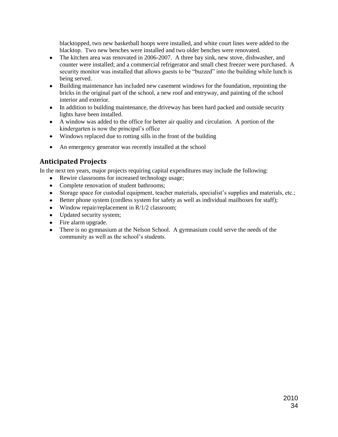blacktopped, two new basketball hoops were installed, and white court lines were added to the blacktop. Two new benches were installed and two older benches were renovated.

- The kitchen area was renovated in 2006-2007. A three bay sink, new stove, dishwasher, and  $\bullet$ counter were installed; and a commercial refrigerator and small chest freezer were purchased. A security monitor was installed that allows guests to be "buzzed" into the building while lunch is being served.
- Building maintenance has included new casement windows for the foundation, repointing the bricks in the original part of the school, a new roof and entryway, and painting of the school interior and exterior.
- In addition to building maintenance, the driveway has been hard packed and outside security lights have been installed.
- A window was added to the office for better air quality and circulation. A portion of the kindergarten is now the principal's office
- Windows replaced due to rotting sills in the front of the building
- An emergency generator was recently installed at the school

# <span id="page-33-0"></span>**Anticipated Projects**

In the next ten years, major projects requiring capital expenditures may include the following:

- Rewire classrooms for increased technology usage;  $\bullet$
- Complete renovation of student bathrooms;
- Storage space for custodial equipment, teacher materials, specialist's supplies and materials, etc.;
- Better phone system (cordless system for safety as well as individual mailboxes for staff);
- Window repair/replacement in R/1/2 classroom;
- Updated security system;
- Fire alarm upgrade.
- There is no gymnasium at the Nelson School. A gymnasium could serve the needs of the community as well as the school's students.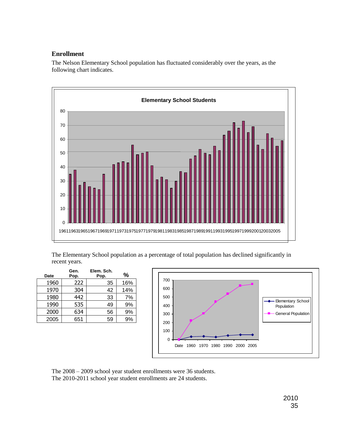#### **Enrollment**

The Nelson Elementary School population has fluctuated considerably over the years, as the following chart indicates.



The Elementary School population as a percentage of total population has declined significantly in recent years.

| <b>Date</b> | Gen.<br>Pop. | Elem. Sch.<br>Pop. | %   |
|-------------|--------------|--------------------|-----|
| 1960        | 222          | 35                 | 16% |
| 1970        | 304          | 42                 | 14% |
| 1980        | 442          | 33                 | 7%  |
| 1990        | 535          | 49                 | 9%  |
| 2000        | 634          | 56                 | 9%  |
| 2005        | 651          | 59                 | 9%  |



The 2008 – 2009 school year student enrollments were 36 students. The 2010-2011 school year student enrollments are 24 students.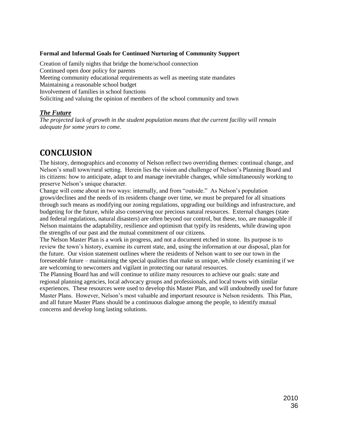#### **Formal and Informal Goals for Continued Nurturing of Community Support**

Creation of family nights that bridge the home/school connection Continued open door policy for parents Meeting community educational requirements as well as meeting state mandates Maintaining a reasonable school budget Involvement of families in school functions Soliciting and valuing the opinion of members of the school community and town

#### *The Future*

*The projected lack of growth in the student population means that the current facility will remain adequate for some years to come.*

# <span id="page-35-0"></span>**CONCLUSION**

The history, demographics and economy of Nelson reflect two overriding themes: continual change, and Nelson's small town/rural setting. Herein lies the vision and challenge of Nelson's Planning Board and its citizens: how to anticipate, adapt to and manage inevitable changes, while simultaneously working to preserve Nelson's unique character.

Change will come about in two ways: internally, and from "outside." As Nelson's population grows/declines and the needs of its residents change over time, we must be prepared for all situations through such means as modifying our zoning regulations, upgrading our buildings and infrastructure, and budgeting for the future, while also conserving our precious natural resources. External changes (state and federal regulations, natural disasters) are often beyond our control, but these, too, are manageable if Nelson maintains the adaptability, resilience and optimism that typify its residents, while drawing upon the strengths of our past and the mutual commitment of our citizens.

The Nelson Master Plan is a work in progress, and not a document etched in stone. Its purpose is to review the town's history, examine its current state, and, using the information at our disposal, plan for the future. Our vision statement outlines where the residents of Nelson want to see our town in the foreseeable future – maintaining the special qualities that make us unique, while closely examining if we are welcoming to newcomers and vigilant in protecting our natural resources.

The Planning Board has and will continue to utilize many resources to achieve our goals: state and regional planning agencies, local advocacy groups and professionals, and local towns with similar experiences. These resources were used to develop this Master Plan, and will undoubtedly used for future Master Plans. However, Nelson's most valuable and important resource is Nelson residents. This Plan, and all future Master Plans should be a continuous dialogue among the people, to identify mutual concerns and develop long lasting solutions.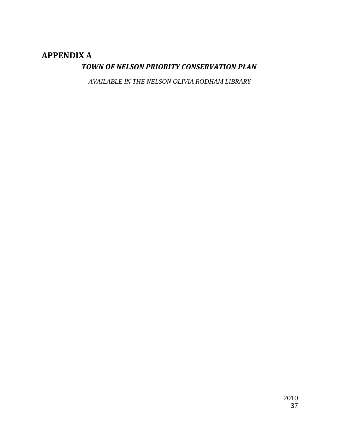# <span id="page-36-1"></span><span id="page-36-0"></span>**APPENDIX A**

# *TOWN OF NELSON PRIORITY CONSERVATION PLAN*

*AVAILABLE IN THE NELSON OLIVIA RODHAM LIBRARY*